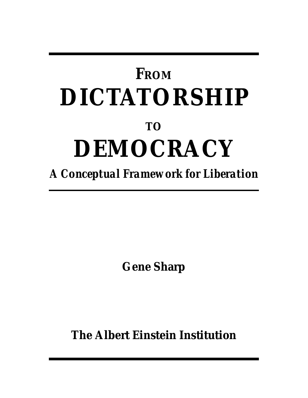# **FROM DICTATORSHIP TO DEMOCRACY**

*A Conceptual Framework for Liberation*

**Gene Sharp**

**The Albert Einstein Institution**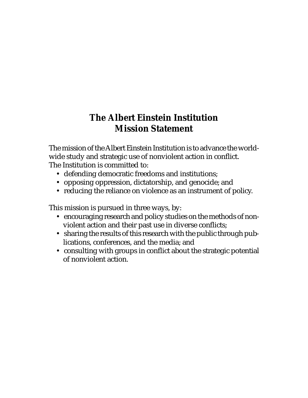### **The Albert Einstein Institution Mission Statement**

The mission of the Albert Einstein Institution is to advance the worldwide study and strategic use of nonviolent action in conflict. The Institution is committed to:

- defending democratic freedoms and institutions;
- opposing oppression, dictatorship, and genocide; and
- reducing the reliance on violence as an instrument of policy.

This mission is pursued in three ways, by:

- encouraging research and policy studies on the methods of nonviolent action and their past use in diverse conflicts;
- sharing the results of this research with the public through publications, conferences, and the media; and
- consulting with groups in conflict about the strategic potential of nonviolent action.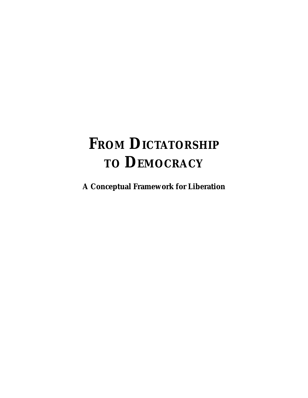# **FROM DICTATORSHIP TO DEMOCRACY**

**A Conceptual Framework for Liberation**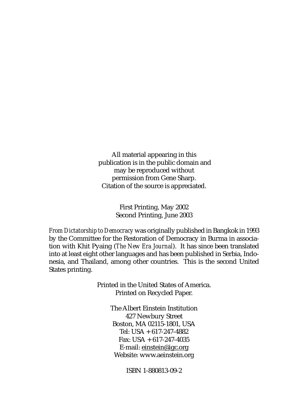All material appearing in this publication is in the public domain and may be reproduced without permission from Gene Sharp. Citation of the source is appreciated.

> First Printing, May 2002 Second Printing, June 2003

*From Dictatorship to Democracy* was originally published in Bangkok in 1993 by the Committee for the Restoration of Democracy in Burma in association with Khit Pyaing (*The New Era Journal*). It has since been translated into at least eight other languages and has been published in Serbia, Indonesia, and Thailand, among other countries. This is the second United States printing.

> Printed in the United States of America. Printed on Recycled Paper.

> > The Albert Einstein Institution 427 Newbury Street Boston, MA 02115-1801, USA Tel: USA + 617-247-4882 Fax: USA + 617-247-4035 E-mail: einstein@igc.org Website: www.aeinstein.org

> > > ISBN 1-880813-09-2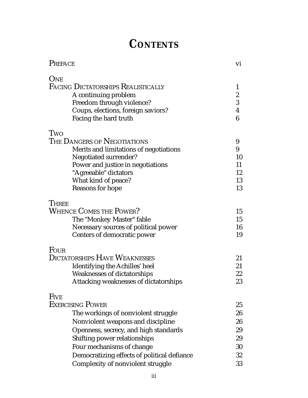### **CONTENTS**

| PREFACE                                     | vi               |
|---------------------------------------------|------------------|
| ONE                                         |                  |
| FACING DICTATORSHIPS REALISTICALLY          | $\mathbf{1}$     |
| A continuing problem                        | $\boldsymbol{2}$ |
| Freedom through violence?                   | 3                |
| Coups, elections, foreign saviors?          | 4                |
| Facing the hard truth                       | 6                |
| Two                                         |                  |
| THE DANGERS OF NEGOTIATIONS                 | 9                |
| Merits and limitations of negotiations      | 9                |
| <b>Negotiated surrender?</b>                | 10               |
| Power and justice in negotiations           | 11               |
| "Agreeable" dictators                       | 12               |
| What kind of peace?                         | 13               |
| <b>Reasons for hope</b>                     | 13               |
| THREE                                       |                  |
| <b>WHENCE COMES THE POWER?</b>              | 15               |
| The "Monkey Master" fable                   | 15               |
| Necessary sources of political power        | 16               |
| <b>Centers of democratic power</b>          | 19               |
| FOUR                                        |                  |
| <b>DICTATORSHIPS HAVE WEAKNESSES</b>        | 21               |
| Identifying the Achilles' heel              | 21               |
| <b>Weaknesses of dictatorships</b>          | 22               |
| Attacking weaknesses of dictatorships       | 23               |
| <b>FIVE</b>                                 |                  |
| <b>EXERCISING POWER</b>                     | 25               |
| The workings of nonviolent struggle         | 26               |
| Nonviolent weapons and discipline           | 26               |
| Openness, secrecy, and high standards       | 29               |
| Shifting power relationships                | 29               |
| Four mechanisms of change                   | 30               |
| Democratizing effects of political defiance | 32               |
| Complexity of nonviolent struggle           | 33               |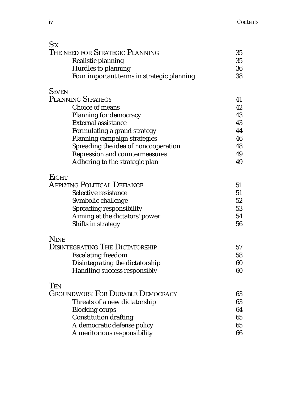| 35 |
|----|
| 35 |
| 36 |
| 38 |
|    |
|    |
| 41 |
| 42 |
| 43 |
| 43 |
| 44 |
| 46 |
| 48 |
| 49 |
| 49 |
|    |
| 51 |
| 51 |
| 52 |
| 53 |
| 54 |
| 56 |
|    |
|    |
| 57 |
| 58 |
| 60 |
| 60 |
|    |
| 63 |
| 63 |
| 64 |
| 65 |
| 65 |
| 66 |
|    |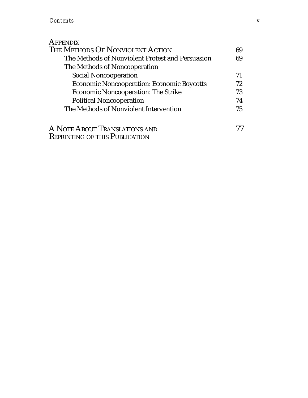| <b>APPENDIX</b>                                   |    |
|---------------------------------------------------|----|
| THE METHODS OF NONVIOLENT ACTION                  | 69 |
| The Methods of Nonviolent Protest and Persuasion  | 69 |
| The Methods of Noncooperation                     |    |
| <b>Social Noncooperation</b>                      | 71 |
| <b>Economic Noncooperation: Economic Boycotts</b> | 72 |
| <b>Economic Noncooperation: The Strike</b>        | 73 |
| <b>Political Noncooperation</b>                   | 74 |
| The Methods of Nonviolent Intervention            | 75 |
| A NOTE ABOUT TRANSLATIONS AND                     |    |

REPRINTING OF THIS PUBLICATION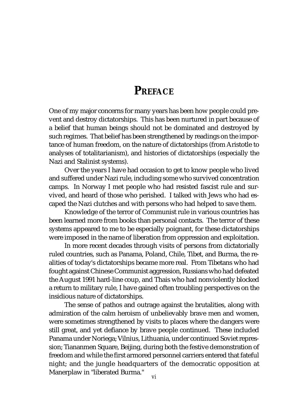### **PREFACE**

One of my major concerns for many years has been how people could prevent and destroy dictatorships. This has been nurtured in part because of a belief that human beings should not be dominated and destroyed by such regimes. That belief has been strengthened by readings on the importance of human freedom, on the nature of dictatorships (from Aristotle to analyses of totalitarianism), and histories of dictatorships (especially the Nazi and Stalinist systems).

Over the years I have had occasion to get to know people who lived and suffered under Nazi rule, including some who survived concentration camps. In Norway I met people who had resisted fascist rule and survived, and heard of those who perished. I talked with Jews who had escaped the Nazi clutches and with persons who had helped to save them.

Knowledge of the terror of Communist rule in various countries has been learned more from books than personal contacts. The terror of these systems appeared to me to be especially poignant, for these dictatorships were imposed in the name of liberation from oppression and exploitation.

In more recent decades through visits of persons from dictatorially ruled countries, such as Panama, Poland, Chile, Tibet, and Burma, the realities of today's dictatorships became more real. From Tibetans who had fought against Chinese Communist aggression, Russians who had defeated the August 1991 hard-line coup, and Thais who had nonviolently blocked a return to military rule, I have gained often troubling perspectives on the insidious nature of dictatorships.

The sense of pathos and outrage against the brutalities, along with admiration of the calm heroism of unbelievably brave men and women, were sometimes strengthened by visits to places where the dangers were still great, and yet defiance by brave people continued. These included Panama under Noriega; Vilnius, Lithuania, under continued Soviet repression; Tiananmen Square, Beijing, during both the festive demonstration of freedom and while the first armored personnel carriers entered that fateful night; and the jungle headquarters of the democratic opposition at Manerplaw in "liberated Burma." *vi*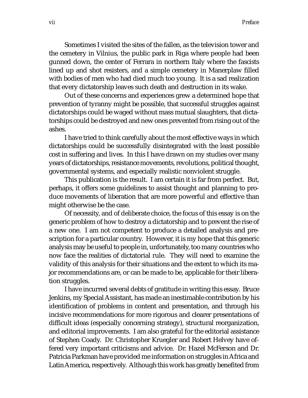Sometimes I visited the sites of the fallen, as the television tower and the cemetery in Vilnius, the public park in Riga where people had been gunned down, the center of Ferrara in northern Italy where the fascists lined up and shot resisters, and a simple cemetery in Manerplaw filled with bodies of men who had died much too young. It is a sad realization that every dictatorship leaves such death and destruction in its wake.

Out of these concerns and experiences grew a determined hope that prevention of tyranny might be possible, that successful struggles against dictatorships could be waged without mass mutual slaughters, that dictatorships could be destroyed and new ones prevented from rising out of the ashes.

I have tried to think carefully about the most effective ways in which dictatorships could be successfully disintegrated with the least possible cost in suffering and lives. In this I have drawn on my studies over many years of dictatorships, resistance movements, revolutions, political thought, governmental systems, and especially realistic nonviolent struggle.

This publication is the result. I am certain it is far from perfect. But, perhaps, it offers some guidelines to assist thought and planning to produce movements of liberation that are more powerful and effective than might otherwise be the case.

Of necessity, and of deliberate choice, the focus of this essay is on the generic problem of how to destroy a dictatorship and to prevent the rise of a new one. I am not competent to produce a detailed analysis and prescription for a particular country. However, it is my hope that this generic analysis may be useful to people in, unfortunately, too many countries who now face the realities of dictatorial rule. They will need to examine the validity of this analysis for their situations and the extent to which its major recommendations are, or can be made to be, applicable for their liberation struggles.

I have incurred several debts of gratitude in writing this essay. Bruce Jenkins, my Special Assistant, has made an inestimable contribution by his identification of problems in content and presentation, and through his incisive recommendations for more rigorous and clearer presentations of difficult ideas (especially concerning strategy), structural reorganization, and editorial improvements. I am also grateful for the editorial assistance of Stephen Coady. Dr. Christopher Kruegler and Robert Helvey have offered very important criticisms and advice. Dr. Hazel McFerson and Dr. Patricia Parkman have provided me information on struggles in Africa and Latin America, respectively. Although this work has greatly benefited from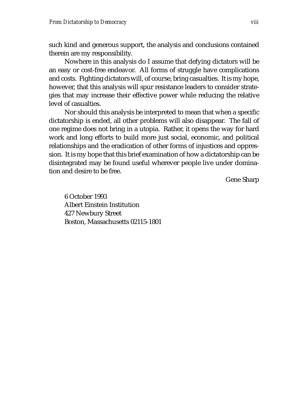such kind and generous support, the analysis and conclusions contained therein are my responsibility.

Nowhere in this analysis do I assume that defying dictators will be an easy or cost-free endeavor. All forms of struggle have complications and costs. Fighting dictators will, of course, bring casualties. It is my hope, however, that this analysis will spur resistance leaders to consider strategies that may increase their effective power while reducing the relative level of casualties.

Nor should this analysis be interpreted to mean that when a specific dictatorship is ended, all other problems will also disappear. The fall of one regime does not bring in a utopia. Rather, it opens the way for hard work and long efforts to build more just social, economic, and political relationships and the eradication of other forms of injustices and oppression. It is my hope that this brief examination of how a dictatorship can be disintegrated may be found useful wherever people live under domination and desire to be free.

Gene Sharp

6 October 1993 Albert Einstein Institution 427 Newbury Street Boston, Massachusetts 02115-1801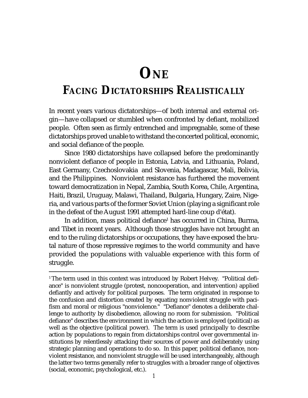# **ONE**

### **FACING DICTATORSHIPS REALISTICALLY**

In recent years various dictatorships—of both internal and external origin—have collapsed or stumbled when confronted by defiant, mobilized people. Often seen as firmly entrenched and impregnable, some of these dictatorships proved unable to withstand the concerted political, economic, and social defiance of the people.

Since 1980 dictatorships have collapsed before the predominantly nonviolent defiance of people in Estonia, Latvia, and Lithuania, Poland, East Germany, Czechoslovakia and Slovenia, Madagascar, Mali, Bolivia, and the Philippines. Nonviolent resistance has furthered the movement toward democratization in Nepal, Zambia, South Korea, Chile, Argentina, Haiti, Brazil, Uruguay, Malawi, Thailand, Bulgaria, Hungary, Zaire, Nigeria, and various parts of the former Soviet Union (playing a significant role in the defeat of the August 1991 attempted hard-line coup d'état).

In addition, mass political defiance<sup>1</sup> has occurred in China, Burma, and Tibet in recent years. Although those struggles have not brought an end to the ruling dictatorships or occupations, they have exposed the brutal nature of those repressive regimes to the world community and have provided the populations with valuable experience with this form of struggle.

<sup>1</sup> The term used in this context was introduced by Robert Helvey. "Political defiance" is nonviolent struggle (protest, noncooperation, and intervention) applied defiantly and actively for political purposes. The term originated in response to the confusion and distortion created by equating nonviolent struggle with pacifism and moral or religious "nonviolence." "Defiance" denotes a deliberate challenge to authority by disobedience, allowing no room for submission. "Political defiance" describes the environment in which the action is employed (political) as well as the objective (political power). The term is used principally to describe action by populations to regain from dictatorships control over governmental institutions by relentlessly attacking their sources of power and deliberately using strategic planning and operations to do so. In this paper, political defiance, nonviolent resistance, and nonviolent struggle will be used interchangeably, although the latter two terms generally refer to struggles with a broader range of objectives (social, economic, psychological, etc.).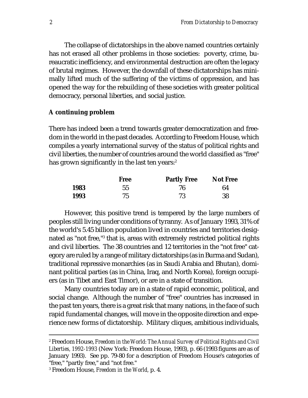The collapse of dictatorships in the above named countries certainly has not erased all other problems in those societies: poverty, crime, bureaucratic inefficiency, and environmental destruction are often the legacy of brutal regimes. However, the downfall of these dictatorships has minimally lifted much of the suffering of the victims of oppression, and has opened the way for the rebuilding of these societies with greater political democracy, personal liberties, and social justice.

#### **A continuing problem**

There has indeed been a trend towards greater democratization and freedom in the world in the past decades. According to Freedom House, which compiles a yearly international survey of the status of political rights and civil liberties, the number of countries around the world classified as "free" has grown significantly in the last ten years:<sup>2</sup>

|      | Free | <b>Partly Free</b> | <b>Not Free</b> |
|------|------|--------------------|-----------------|
| 1983 | 55   | 76                 | 64              |
| 1993 | 75   | 73                 | 38              |

However, this positive trend is tempered by the large numbers of peoples still living under conditions of tyranny. As of January 1993, 31% of the world's 5.45 billion population lived in countries and territories designated as "not free,"<sup>3</sup> that is, areas with extremely restricted political rights and civil liberties. The 38 countries and 12 territories in the "not free" category are ruled by a range of military dictatorships (as in Burma and Sudan), traditional repressive monarchies (as in Saudi Arabia and Bhutan), dominant political parties (as in China, Iraq, and North Korea), foreign occupiers (as in Tibet and East Timor), or are in a state of transition.

Many countries today are in a state of rapid economic, political, and social change. Although the number of "free" countries has increased in the past ten years, there is a great risk that many nations, in the face of such rapid fundamental changes, will move in the opposite direction and experience new forms of dictatorship. Military cliques, ambitious individuals,

<sup>2</sup> Freedom House, *Freedom in the World: The Annual Survey of Political Rights and Civil Liberties, 1992-1993* (New York: Freedom House, 1993), p. 66 (1993 figures are as of January 1993). See pp. 79-80 for a description of Freedom House's categories of "free," "partly free," and "not free."

<sup>3</sup> Freedom House, *Freedom in the World,* p. 4.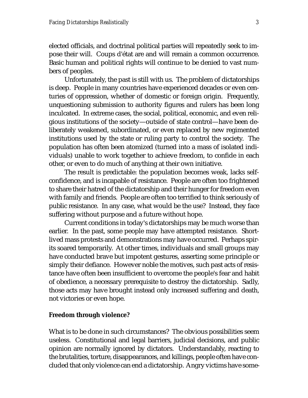elected officials, and doctrinal political parties will repeatedly seek to impose their will. Coups d'état are and will remain a common occurrence. Basic human and political rights will continue to be denied to vast numbers of peoples.

Unfortunately, the past is still with us. The problem of dictatorships is deep. People in many countries have experienced decades or even centuries of oppression, whether of domestic or foreign origin. Frequently, unquestioning submission to authority figures and rulers has been long inculcated. In extreme cases, the social, political, economic, and even religious institutions of the society—outside of state control—have been deliberately weakened, subordinated, or even replaced by new regimented institutions used by the state or ruling party to control the society. The population has often been atomized (turned into a mass of isolated individuals) unable to work together to achieve freedom, to confide in each other, or even to do much of anything at their own initiative.

The result is predictable: the population becomes weak, lacks selfconfidence, and is incapable of resistance. People are often too frightened to share their hatred of the dictatorship and their hunger for freedom even with family and friends. People are often too terrified to think seriously of public resistance. In any case, what would be the use? Instead, they face suffering without purpose and a future without hope.

Current conditions in today's dictatorships may be much worse than earlier. In the past, some people may have attempted resistance. Shortlived mass protests and demonstrations may have occurred. Perhaps spirits soared temporarily. At other times, individuals and small groups may have conducted brave but impotent gestures, asserting some principle or simply their defiance. However noble the motives, such past acts of resistance have often been insufficient to overcome the people's fear and habit of obedience, a necessary prerequisite to destroy the dictatorship. Sadly, those acts may have brought instead only increased suffering and death, not victories or even hope.

#### **Freedom through violence?**

What is to be done in such circumstances? The obvious possibilities seem useless. Constitutional and legal barriers, judicial decisions, and public opinion are normally ignored by dictators. Understandably, reacting to the brutalities, torture, disappearances, and killings, people often have concluded that only violence can end a dictatorship. Angry victims have some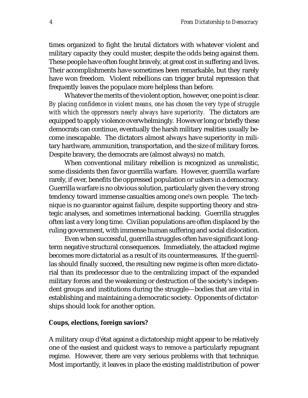times organized to fight the brutal dictators with whatever violent and military capacity they could muster, despite the odds being against them. These people have often fought bravely, at great cost in suffering and lives. Their accomplishments have sometimes been remarkable, but they rarely have won freedom. Violent rebellions can trigger brutal repression that frequently leaves the populace more helpless than before.

Whatever the merits of the violent option, however, one point is clear. *By placing confidence in violent means, one has chosen the very type of struggle with which the oppressors nearly always have superiority.* The dictators are equipped to apply violence overwhelmingly. However long or briefly these democrats can continue, eventually the harsh military realities usually become inescapable. The dictators almost always have superiority in military hardware, ammunition, transportation, and the size of military forces. Despite bravery, the democrats are (almost always) no match.

When conventional military rebellion is recognized as unrealistic, some dissidents then favor guerrilla warfare. However, guerrilla warfare rarely, if ever, benefits the oppressed population or ushers in a democracy. Guerrilla warfare is no obvious solution, particularly given the very strong tendency toward immense casualties among one's own people. The technique is no guarantor against failure, despite supporting theory and strategic analyses, and sometimes international backing. Guerrilla struggles often last a very long time. Civilian populations are often displaced by the ruling government, with immense human suffering and social dislocation.

Even when successful, guerrilla struggles often have significant longterm negative structural consequences. Immediately, the attacked regime becomes more dictatorial as a result of its countermeasures. If the guerrillas should finally succeed, the resulting new regime is often more dictatorial than its predecessor due to the centralizing impact of the expanded military forces and the weakening or destruction of the society's independent groups and institutions during the struggle—bodies that are vital in establishing and maintaining a democratic society. Opponents of dictatorships should look for another option.

#### **Coups, elections, foreign saviors?**

A military coup d'état against a dictatorship might appear to be relatively one of the easiest and quickest ways to remove a particularly repugnant regime. However, there are very serious problems with that technique. Most importantly, it leaves in place the existing maldistribution of power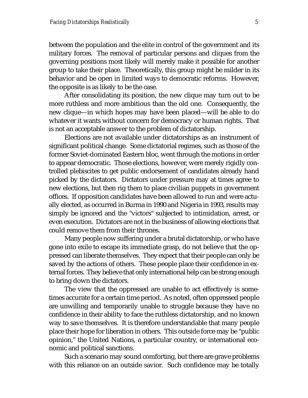between the population and the elite in control of the government and its military forces. The removal of particular persons and cliques from the governing positions most likely will merely make it possible for another group to take their place. Theoretically, this group might be milder in its behavior and be open in limited ways to democratic reforms. However, the opposite is as likely to be the case.

After consolidating its position, the new clique may turn out to be more ruthless and more ambitious than the old one. Consequently, the new clique—in which hopes may have been placed—will be able to do whatever it wants without concern for democracy or human rights. That is not an acceptable answer to the problem of dictatorship.

Elections are not available under dictatorships as an instrument of significant political change. Some dictatorial regimes, such as those of the former Soviet-dominated Eastern bloc, went through the motions in order to appear democratic. Those elections, however, were merely rigidly controlled plebiscites to get public endorsement of candidates already hand picked by the dictators. Dictators under pressure may at times agree to new elections, but then rig them to place civilian puppets in government offices. If opposition candidates have been allowed to run and were actually elected, as occurred in Burma in 1990 and Nigeria in 1993, results may simply be ignored and the "victors" subjected to intimidation, arrest, or even execution. Dictators are not in the business of allowing elections that could remove them from their thrones.

Many people now suffering under a brutal dictatorship, or who have gone into exile to escape its immediate grasp, do not believe that the oppressed can liberate themselves. They expect that their people can only be saved by the actions of others. These people place their confidence in external forces. They believe that only international help can be strong enough to bring down the dictators.

The view that the oppressed are unable to act effectively is sometimes accurate for a certain time period. As noted, often oppressed people are unwilling and temporarily unable to struggle because they have no confidence in their ability to face the ruthless dictatorship, and no known way to save themselves. It is therefore understandable that many people place their hope for liberation in others. This outside force may be "public opinion," the United Nations, a particular country, or international economic and political sanctions.

Such a scenario may sound comforting, but there are grave problems with this reliance on an outside savior. Such confidence may be totally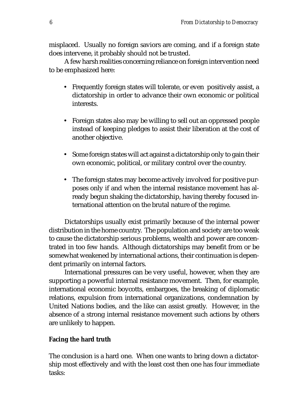misplaced. Usually no foreign saviors are coming, and if a foreign state does intervene, it probably should not be trusted.

A few harsh realities concerning reliance on foreign intervention need to be emphasized here:

- Frequently foreign states will tolerate, or even positively assist, a dictatorship in order to advance their own economic or political interests.
- Foreign states also may be willing to sell out an oppressed people instead of keeping pledges to assist their liberation at the cost of another objective.
- Some foreign states will act against a dictatorship only to gain their own economic, political, or military control over the country.
- The foreign states may become actively involved for positive purposes only if and when the internal resistance movement has already begun shaking the dictatorship, having thereby focused international attention on the brutal nature of the regime.

Dictatorships usually exist primarily because of the internal power distribution in the home country. The population and society are too weak to cause the dictatorship serious problems, wealth and power are concentrated in too few hands. Although dictatorships may benefit from or be somewhat weakened by international actions, their continuation is dependent primarily on internal factors.

International pressures can be very useful, however, when they are supporting a powerful internal resistance movement. Then, for example, international economic boycotts, embargoes, the breaking of diplomatic relations, expulsion from international organizations, condemnation by United Nations bodies, and the like can assist greatly. However, in the absence of a strong internal resistance movement such actions by others are unlikely to happen.

#### **Facing the hard truth**

The conclusion is a hard one. When one wants to bring down a dictatorship most effectively and with the least cost then one has four immediate tasks: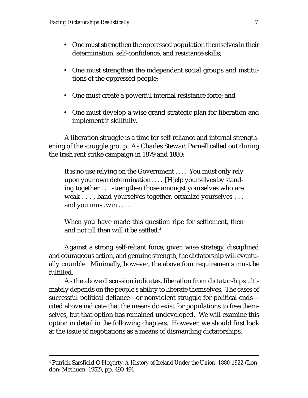- One must strengthen the oppressed population themselves in their determination, self-confidence, and resistance skills;
- One must strengthen the independent social groups and institutions of the oppressed people;
- One must create a powerful internal resistance force; and
- One must develop a wise grand strategic plan for liberation and implement it skillfully.

A liberation struggle is a time for self-reliance and internal strengthening of the struggle group. As Charles Stewart Parnell called out during the Irish rent strike campaign in 1879 and 1880:

It is no use relying on the Government . . . . You must only rely upon your own determination . . . . [H]elp yourselves by standing together . . . strengthen those amongst yourselves who are weak . . . , band yourselves together, organize yourselves . . . and you must win . . . .

When you have made this question ripe for settlement, then and not till then will it be settled.<sup>4</sup>

Against a strong self-reliant force, given wise strategy, disciplined and courageous action, and genuine strength, the dictatorship will eventually crumble. Minimally, however, the above four requirements must be fulfilled.

As the above discussion indicates, liberation from dictatorships ultimately depends on the people's ability to liberate themselves. The cases of successful political defiance—or nonviolent struggle for political ends cited above indicate that the means do exist for populations to free themselves, but that option has remained undeveloped. We will examine this option in detail in the following chapters. However, we should first look at the issue of negotiations as a means of dismantling dictatorships.

<sup>4</sup> Patrick Sarsfield O'Hegarty, *A History of Ireland Under the Union, 1880-1922* (London: Methuen, 1952), pp. 490-491.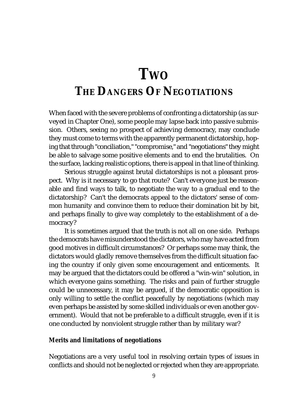### **TWO THE DANGERS OF NEGOTIATIONS**

When faced with the severe problems of confronting a dictatorship (as surveyed in Chapter One), some people may lapse back into passive submission. Others, seeing no prospect of achieving democracy, may conclude they must come to terms with the apparently permanent dictatorship, hoping that through "conciliation," "compromise," and "negotiations" they might be able to salvage some positive elements and to end the brutalities. On the surface, lacking realistic options, there is appeal in that line of thinking.

Serious struggle against brutal dictatorships is not a pleasant prospect. Why is it necessary to go that route? Can't everyone just be reasonable and find ways to talk, to negotiate the way to a gradual end to the dictatorship? Can't the democrats appeal to the dictators' sense of common humanity and convince them to reduce their domination bit by bit, and perhaps finally to give way completely to the establishment of a democracy?

It is sometimes argued that the truth is not all on one side. Perhaps the democrats have misunderstood the dictators, who may have acted from good motives in difficult circumstances? Or perhaps some may think, the dictators would gladly remove themselves from the difficult situation facing the country if only given some encouragement and enticements. It may be argued that the dictators could be offered a "win-win" solution, in which everyone gains something. The risks and pain of further struggle could be unnecessary, it may be argued, if the democratic opposition is only willing to settle the conflict peacefully by negotiations (which may even perhaps be assisted by some skilled individuals or even another government). Would that not be preferable to a difficult struggle, even if it is one conducted by nonviolent struggle rather than by military war?

#### **Merits and limitations of negotiations**

Negotiations are a very useful tool in resolving certain types of issues in conflicts and should not be neglected or rejected when they are appropriate.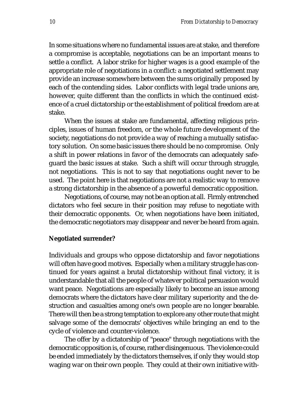In some situations where no fundamental issues are at stake, and therefore a compromise is acceptable, negotiations can be an important means to settle a conflict. A labor strike for higher wages is a good example of the appropriate role of negotiations in a conflict: a negotiated settlement may provide an increase somewhere between the sums originally proposed by each of the contending sides. Labor conflicts with legal trade unions are, however, quite different than the conflicts in which the continued existence of a cruel dictatorship or the establishment of political freedom are at stake.

When the issues at stake are fundamental, affecting religious principles, issues of human freedom, or the whole future development of the society, negotiations do not provide a way of reaching a mutually satisfactory solution. On some basic issues there should be no compromise. Only a shift in power relations in favor of the democrats can adequately safeguard the basic issues at stake. Such a shift will occur through struggle, not negotiations. This is not to say that negotiations ought never to be used. The point here is that negotiations are not a realistic way to remove a strong dictatorship in the absence of a powerful democratic opposition.

Negotiations, of course, may not be an option at all. Firmly entrenched dictators who feel secure in their position may refuse to negotiate with their democratic opponents. Or, when negotiations have been initiated, the democratic negotiators may disappear and never be heard from again.

#### **Negotiated surrender?**

Individuals and groups who oppose dictatorship and favor negotiations will often have good motives. Especially when a military struggle has continued for years against a brutal dictatorship without final victory, it is understandable that all the people of whatever political persuasion would want peace. Negotiations are especially likely to become an issue among democrats where the dictators have clear military superiority and the destruction and casualties among one's own people are no longer bearable. There will then be a strong temptation to explore any other route that might salvage some of the democrats' objectives while bringing an end to the cycle of violence and counter-violence.

The offer by a dictatorship of "peace" through negotiations with the democratic opposition is, of course, rather disingenuous. The violence could be ended immediately by the dictators themselves, if only they would stop waging war on their own people. They could at their own initiative with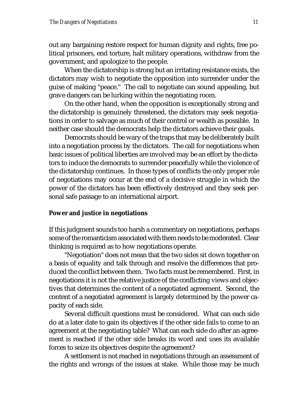out any bargaining restore respect for human dignity and rights, free political prisoners, end torture, halt military operations, withdraw from the government, and apologize to the people.

When the dictatorship is strong but an irritating resistance exists, the dictators may wish to negotiate the opposition into surrender under the guise of making "peace." The call to negotiate can sound appealing, but grave dangers can be lurking within the negotiating room.

On the other hand, when the opposition is exceptionally strong and the dictatorship is genuinely threatened, the dictators may seek negotiations in order to salvage as much of their control or wealth as possible. In neither case should the democrats help the dictators achieve their goals.

Democrats should be wary of the traps that may be deliberately built into a negotiation process by the dictators. The call for negotiations when basic issues of political liberties are involved may be an effort by the dictators to induce the democrats to surrender peacefully while the violence of the dictatorship continues. In those types of conflicts the only proper role of negotiations may occur at the end of a decisive struggle in which the power of the dictators has been effectively destroyed and they seek personal safe passage to an international airport.

#### **Power and justice in negotiations**

If this judgment sounds too harsh a commentary on negotiations, perhaps some of the romanticism associated with them needs to be moderated. Clear thinking is required as to how negotiations operate.

"Negotiation" does not mean that the two sides sit down together on a basis of equality and talk through and resolve the differences that produced the conflict between them. Two facts must be remembered. First, in negotiations it is not the relative justice of the conflicting views and objectives that determines the content of a negotiated agreement. Second, the content of a negotiated agreement is largely determined by the power capacity of each side.

Several difficult questions must be considered. What can each side do at a later date to gain its objectives if the other side fails to come to an agreement at the negotiating table? What can each side do after an agreement is reached if the other side breaks its word and uses its available forces to seize its objectives despite the agreement?

A settlement is not reached in negotiations through an assessment of the rights and wrongs of the issues at stake. While those may be much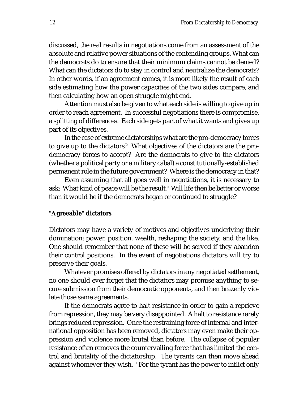discussed, the real results in negotiations come from an assessment of the absolute and relative power situations of the contending groups. What can the democrats do to ensure that their minimum claims cannot be denied? What can the dictators do to stay in control and neutralize the democrats? In other words, if an agreement comes, it is more likely the result of each side estimating how the power capacities of the two sides compare, and then calculating how an open struggle might end.

Attention must also be given to what each side is willing to give up in order to reach agreement. In successful negotiations there is compromise, a splitting of differences. Each side gets part of what it wants and gives up part of its objectives.

In the case of extreme dictatorships what are the pro-democracy forces to give up to the dictators? What objectives of the dictators are the prodemocracy forces to accept? Are the democrats to give to the dictators (whether a political party or a military cabal) a constitutionally-established permanent role in the future government? Where is the democracy in that?

Even assuming that all goes well in negotiations, it is necessary to ask: What kind of peace will be the result? Will life then be better or worse than it would be if the democrats began or continued to struggle?

#### **"Agreeable" dictators**

Dictators may have a variety of motives and objectives underlying their domination: power, position, wealth, reshaping the society, and the like. One should remember that none of these will be served if they abandon their control positions. In the event of negotiations dictators will try to preserve their goals.

Whatever promises offered by dictators in any negotiated settlement, no one should ever forget that the dictators may promise anything to secure submission from their democratic opponents, and then brazenly violate those same agreements.

If the democrats agree to halt resistance in order to gain a reprieve from repression, they may be very disappointed. A halt to resistance rarely brings reduced repression. Once the restraining force of internal and international opposition has been removed, dictators may even make their oppression and violence more brutal than before. The collapse of popular resistance often removes the countervailing force that has limited the control and brutality of the dictatorship. The tyrants can then move ahead against whomever they wish. "For the tyrant has the power to inflict only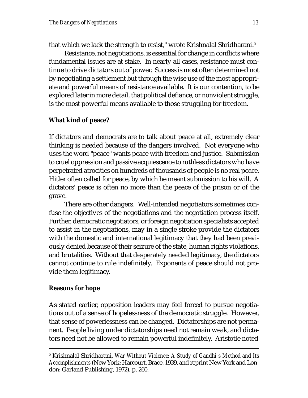that which we lack the strength to resist," wrote Krishnalal Shridharani.5

Resistance, not negotiations, is essential for change in conflicts where fundamental issues are at stake. In nearly all cases, resistance must continue to drive dictators out of power. Success is most often determined not by negotiating a settlement but through the wise use of the most appropriate and powerful means of resistance available. It is our contention, to be explored later in more detail, that political defiance, or nonviolent struggle, is the most powerful means available to those struggling for freedom.

#### **What kind of peace?**

If dictators and democrats are to talk about peace at all, extremely clear thinking is needed because of the dangers involved. Not everyone who uses the word "peace" wants peace with freedom and justice. Submission to cruel oppression and passive acquiescence to ruthless dictators who have perpetrated atrocities on hundreds of thousands of people is no real peace. Hitler often called for peace, by which he meant submission to his will. A dictators' peace is often no more than the peace of the prison or of the grave.

There are other dangers. Well-intended negotiators sometimes confuse the objectives of the negotiations and the negotiation process itself. Further, democratic negotiators, or foreign negotiation specialists accepted to assist in the negotiations, may in a single stroke provide the dictators with the domestic and international legitimacy that they had been previously denied because of their seizure of the state, human rights violations, and brutalities. Without that desperately needed legitimacy, the dictators cannot continue to rule indefinitely. Exponents of peace should not provide them legitimacy.

#### **Reasons for hope**

As stated earlier, opposition leaders may feel forced to pursue negotiations out of a sense of hopelessness of the democratic struggle. However, that sense of powerlessness can be changed. Dictatorships are not permanent. People living under dictatorships need not remain weak, and dictators need not be allowed to remain powerful indefinitely. Aristotle noted

<sup>5</sup> Krishnalal Shridharani, *War Without Violence: A Study of Gandhi's Method and Its Accomplishments* (New York: Harcourt, Brace, 1939, and reprint New York and London: Garland Publishing, 1972), p. 260.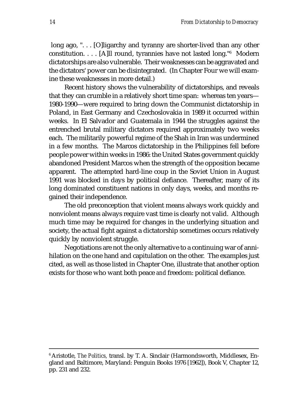long ago, ". . . [O]ligarchy and tyranny are shorter-lived than any other constitution. . . . [A]ll round, tyrannies have not lasted long."6 Modern dictatorships are also vulnerable. Their weaknesses can be aggravated and the dictators' power can be disintegrated. (In Chapter Four we will examine these weaknesses in more detail.)

Recent history shows the vulnerability of dictatorships, and reveals that they can crumble in a relatively short time span: whereas ten years— 1980-1990—were required to bring down the Communist dictatorship in Poland, in East Germany and Czechoslovakia in 1989 it occurred within weeks. In El Salvador and Guatemala in 1944 the struggles against the entrenched brutal military dictators required approximately two weeks each. The militarily powerful regime of the Shah in Iran was undermined in a few months. The Marcos dictatorship in the Philippines fell before people power within weeks in 1986: the United States government quickly abandoned President Marcos when the strength of the opposition became apparent. The attempted hard-line coup in the Soviet Union in August 1991 was blocked in days by political defiance. Thereafter, many of its long dominated constituent nations in only days, weeks, and months regained their independence.

The old preconception that violent means always work quickly and nonviolent means always require vast time is clearly not valid. Although much time may be required for changes in the underlying situation and society, the actual fight against a dictatorship sometimes occurs relatively quickly by nonviolent struggle.

Negotiations are not the only alternative to a continuing war of annihilation on the one hand and capitulation on the other. The examples just cited, as well as those listed in Chapter One, illustrate that another option exists for those who want both peace *and* freedom: political defiance.

<sup>6</sup> Aristotle, *The Politics,* transl. by T. A. Sinclair (Harmondsworth, Middlesex, England and Baltimore, Maryland: Penguin Books 1976 [1962]), Book V, Chapter 12, pp. 231 and 232.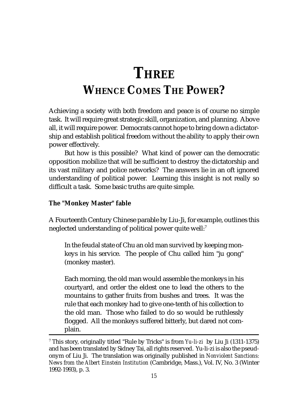# **THREE WHENCE COMES THE POWER?**

Achieving a society with both freedom and peace is of course no simple task. It will require great strategic skill, organization, and planning. Above all, it will require power. Democrats cannot hope to bring down a dictatorship and establish political freedom without the ability to apply their own power effectively.

But how is this possible? What kind of power can the democratic opposition mobilize that will be sufficient to destroy the dictatorship and its vast military and police networks? The answers lie in an oft ignored understanding of political power. Learning this insight is not really so difficult a task. Some basic truths are quite simple.

#### **The "Monkey Master" fable**

A Fourteenth Century Chinese parable by Liu-Ji, for example, outlines this neglected understanding of political power quite well:7

In the feudal state of Chu an old man survived by keeping monkeys in his service. The people of Chu called him "ju gong" (monkey master).

Each morning, the old man would assemble the monkeys in his courtyard, and order the eldest one to lead the others to the mountains to gather fruits from bushes and trees. It was the rule that each monkey had to give one-tenth of his collection to the old man. Those who failed to do so would be ruthlessly flogged. All the monkeys suffered bitterly, but dared not complain.

<sup>7</sup> This story, originally titled "Rule by Tricks" is from *Yu-li-zi* by Liu Ji (1311-1375) and has been translated by Sidney Tai, all rights reserved. Yu-li-zi is also the pseudonym of Liu Ji. The translation was originally published in *Nonviolent Sanctions: News from the Albert Einstein Institution* (Cambridge, Mass.), Vol. IV, No. 3 (Winter 1992-1993), p. 3.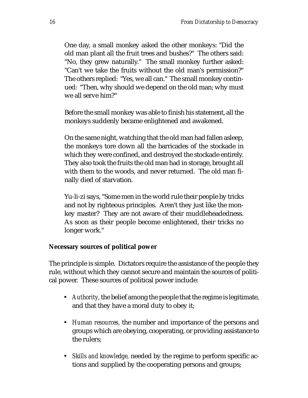One day, a small monkey asked the other monkeys: "Did the old man plant all the fruit trees and bushes?" The others said: "No, they grew naturally." The small monkey further asked: "Can't we take the fruits without the old man's permission?" The others replied: "Yes, we all can." The small monkey continued: "Then, why should we depend on the old man; why must we all serve him?"

Before the small monkey was able to finish his statement, all the monkeys suddenly became enlightened and awakened.

On the same night, watching that the old man had fallen asleep, the monkeys tore down all the barricades of the stockade in which they were confined, and destroyed the stockade entirely. They also took the fruits the old man had in storage, brought all with them to the woods, and never returned. The old man finally died of starvation.

Yu-li-zi says, "Some men in the world rule their people by tricks and not by righteous principles. Aren't they just like the monkey master? They are not aware of their muddleheadedness. As soon as their people become enlightened, their tricks no longer work."

#### **Necessary sources of political power**

The principle is simple. Dictators require the assistance of the people they rule, without which they cannot secure and maintain the sources of political power. These sources of political power include:

- *Authority,* the belief among the people that the regime is legitimate, and that they have a moral duty to obey it;
- *Human resources,* the number and importance of the persons and groups which are obeying, cooperating, or providing assistance to the rulers;
- *Skills and knowledge,* needed by the regime to perform specific actions and supplied by the cooperating persons and groups;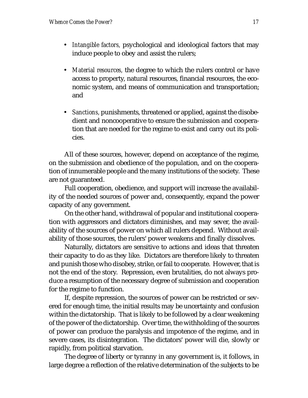- *Intangible factors,* psychological and ideological factors that may induce people to obey and assist the rulers;
- *Material resources,* the degree to which the rulers control or have access to property, natural resources, financial resources, the economic system, and means of communication and transportation; and
- *Sanctions,* punishments, threatened or applied, against the disobedient and noncooperative to ensure the submission and cooperation that are needed for the regime to exist and carry out its policies.

All of these sources, however, depend on acceptance of the regime, on the submission and obedience of the population, and on the cooperation of innumerable people and the many institutions of the society. These are not guaranteed.

Full cooperation, obedience, and support will increase the availability of the needed sources of power and, consequently, expand the power capacity of any government.

On the other hand, withdrawal of popular and institutional cooperation with aggressors and dictators diminishes, and may sever, the availability of the sources of power on which all rulers depend. Without availability of those sources, the rulers' power weakens and finally dissolves.

Naturally, dictators are sensitive to actions and ideas that threaten their capacity to do as they like. Dictators are therefore likely to threaten and punish those who disobey, strike, or fail to cooperate. However, that is not the end of the story. Repression, even brutalities, do not always produce a resumption of the necessary degree of submission and cooperation for the regime to function.

If, despite repression, the sources of power can be restricted or severed for enough time, the initial results may be uncertainty and confusion within the dictatorship. That is likely to be followed by a clear weakening of the power of the dictatorship. Over time, the withholding of the sources of power can produce the paralysis and impotence of the regime, and in severe cases, its disintegration. The dictators' power will die, slowly or rapidly, from political starvation.

The degree of liberty or tyranny in any government is, it follows, in large degree a reflection of the relative determination of the subjects to be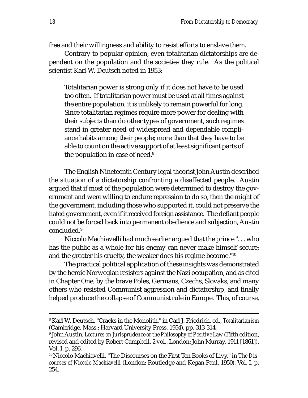free and their willingness and ability to resist efforts to enslave them.

Contrary to popular opinion, even totalitarian dictatorships are dependent on the population and the societies they rule. As the political scientist Karl W. Deutsch noted in 1953:

Totalitarian power is strong only if it does not have to be used too often. If totalitarian power must be used at all times against the entire population, it is unlikely to remain powerful for long. Since totalitarian regimes require more power for dealing with their subjects than do other types of government, such regimes stand in greater need of widespread and dependable compliance habits among their people; more than that they have to be able to count on the active support of at least significant parts of the population in case of need.8

The English Nineteenth Century legal theorist John Austin described the situation of a dictatorship confronting a disaffected people. Austin argued that if most of the population were determined to destroy the government and were willing to endure repression to do so, then the might of the government, including those who supported it, could not preserve the hated government, even if it received foreign assistance. The defiant people could not be forced back into permanent obedience and subjection, Austin concluded.9

Niccolo Machiavelli had much earlier argued that the prince ". . . who has the public as a whole for his enemy can never make himself secure; and the greater his cruelty, the weaker does his regime become."10

The practical political application of these insights was demonstrated by the heroic Norwegian resisters against the Nazi occupation, and as cited in Chapter One, by the brave Poles, Germans, Czechs, Slovaks, and many others who resisted Communist aggression and dictatorship, and finally helped produce the collapse of Communist rule in Europe. This, of course,

<sup>8</sup> Karl W. Deutsch, "Cracks in the Monolith," in Carl J. Friedrich, ed., *Totalitarianism* (Cambridge, Mass.: Harvard University Press, 1954), pp. 313-314.

<sup>9</sup> John Austin, *Lectures on Jurisprudence or the Philosophy of Positive Law* (Fifth edition, revised and edited by Robert Campbell, 2 vol., London: John Murray, 1911 [1861]), Vol. I, p. 296.

<sup>10</sup> Niccolo Machiavelli, "The Discourses on the First Ten Books of Livy," in *The Discourses of Niccolo Machiavelli* (London: Routledge and Kegan Paul, 1950), Vol. I, p. 254.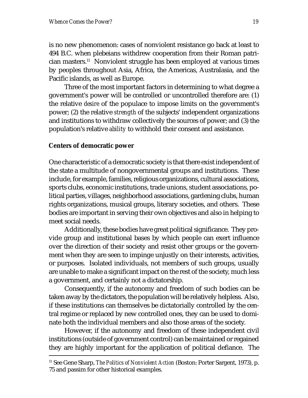is no new phenomenon: cases of nonviolent resistance go back at least to 494 B.C. when plebeians withdrew cooperation from their Roman patrician masters.11 Nonviolent struggle has been employed at various times by peoples throughout Asia, Africa, the Americas, Australasia, and the Pacific islands, as well as Europe.

Three of the most important factors in determining to what degree a government's power will be controlled or uncontrolled therefore are: (1) the relative *desire* of the populace to impose limits on the government's power; (2) the relative *strength* of the subjects' independent organizations and institutions to withdraw collectively the sources of power; and (3) the population's relative *ability* to withhold their consent and assistance.

#### **Centers of democratic power**

One characteristic of a democratic society is that there exist independent of the state a multitude of nongovernmental groups and institutions. These include, for example, families, religious organizations, cultural associations, sports clubs, economic institutions, trade unions, student associations, political parties, villages, neighborhood associations, gardening clubs, human rights organizations, musical groups, literary societies, and others. These bodies are important in serving their own objectives and also in helping to meet social needs.

Additionally, these bodies have great political significance. They provide group and institutional bases by which people can exert influence over the direction of their society and resist other groups or the government when they are seen to impinge unjustly on their interests, activities, or purposes. Isolated individuals, not members of such groups, usually are unable to make a significant impact on the rest of the society, much less a government, and certainly not a dictatorship.

Consequently, if the autonomy and freedom of such bodies can be taken away by the dictators, the population will be relatively helpless. Also, if these institutions can themselves be dictatorially controlled by the central regime or replaced by new controlled ones, they can be used to dominate both the individual members and also those areas of the society.

However, if the autonomy and freedom of these independent civil institutions (outside of government control) can be maintained or regained they are highly important for the application of political defiance. The

<sup>11</sup> See Gene Sharp, *The Politics of Nonviolent Action* (Boston: Porter Sargent, 1973), p. 75 and passim for other historical examples.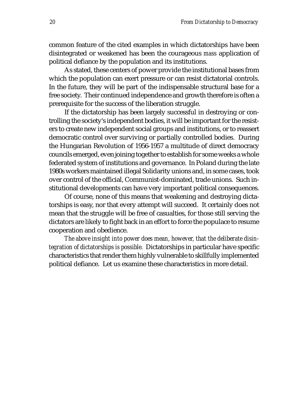common feature of the cited examples in which dictatorships have been disintegrated or weakened has been the courageous *mass* application of political defiance by the population and its institutions.

As stated, these centers of power provide the institutional bases from which the population can exert pressure or can resist dictatorial controls. In the future, they will be part of the indispensable structural base for a free society. Their continued independence and growth therefore is often a prerequisite for the success of the liberation struggle.

If the dictatorship has been largely successful in destroying or controlling the society's independent bodies, it will be important for the resisters to create new independent social groups and institutions, or to reassert democratic control over surviving or partially controlled bodies. During the Hungarian Revolution of 1956-1957 a multitude of direct democracy councils emerged, even joining together to establish for some weeks a whole federated system of institutions and governance. In Poland during the late 1980s workers maintained illegal Solidarity unions and, in some cases, took over control of the official, Communist-dominated, trade unions. Such institutional developments can have very important political consequences.

Of course, none of this means that weakening and destroying dictatorships is easy, nor that every attempt will succeed. It certainly does not mean that the struggle will be free of casualties, for those still serving the dictators are likely to fight back in an effort to force the populace to resume cooperation and obedience.

*The above insight into power does mean, however, that the deliberate disintegration of dictatorships is possible.* Dictatorships in particular have specific characteristics that render them highly vulnerable to skillfully implemented political defiance. Let us examine these characteristics in more detail.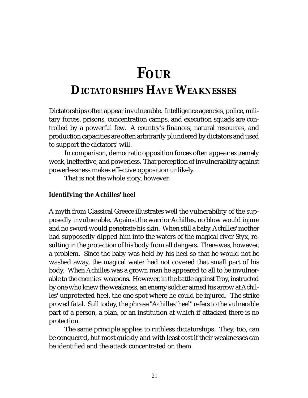# **FOUR DICTATORSHIPS HAVE WEAKNESSES**

Dictatorships often appear invulnerable. Intelligence agencies, police, military forces, prisons, concentration camps, and execution squads are controlled by a powerful few. A country's finances, natural resources, and production capacities are often arbitrarily plundered by dictators and used to support the dictators' will.

In comparison, democratic opposition forces often appear extremely weak, ineffective, and powerless. That perception of invulnerability against powerlessness makes effective opposition unlikely.

That is not the whole story, however.

#### **Identifying the Achilles' heel**

A myth from Classical Greece illustrates well the vulnerability of the supposedly invulnerable. Against the warrior Achilles, no blow would injure and no sword would penetrate his skin. When still a baby, Achilles' mother had supposedly dipped him into the waters of the magical river Styx, resulting in the protection of his body from all dangers. There was, however, a problem. Since the baby was held by his heel so that he would not be washed away, the magical water had not covered that small part of his body. When Achilles was a grown man he appeared to all to be invulnerable to the enemies' weapons. However, in the battle against Troy, instructed by one who knew the weakness, an enemy soldier aimed his arrow at Achilles' unprotected heel, the one spot where he could be injured. The strike proved fatal. Still today, the phrase "Achilles' heel" refers to the vulnerable part of a person, a plan, or an institution at which if attacked there is no protection.

The same principle applies to ruthless dictatorships. They, too, can be conquered, but most quickly and with least cost if their weaknesses can be identified and the attack concentrated on them.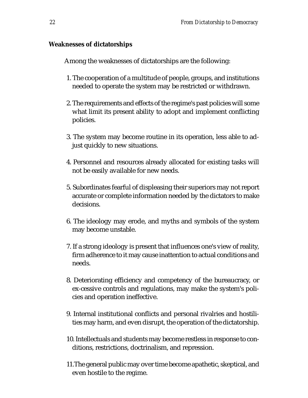#### **Weaknesses of dictatorships**

Among the weaknesses of dictatorships are the following:

- 1. The cooperation of a multitude of people, groups, and institutions needed to operate the system may be restricted or withdrawn.
- 2. The requirements and effects of the regime's past policies will some what limit its present ability to adopt and implement conflicting policies.
- 3. The system may become routine in its operation, less able to adjust quickly to new situations.
- 4. Personnel and resources already allocated for existing tasks will not be easily available for new needs.
- 5. Subordinates fearful of displeasing their superiors may not report accurate or complete information needed by the dictators to make decisions.
- 6. The ideology may erode, and myths and symbols of the system may become unstable.
- 7. If a strong ideology is present that influences one's view of reality, firm adherence to it may cause inattention to actual conditions and needs.
- 8. Deteriorating efficiency and competency of the bureaucracy, or ex-cessive controls and regulations, may make the system's policies and operation ineffective.
- 9. Internal institutional conflicts and personal rivalries and hostilities may harm, and even disrupt, the operation of the dictatorship.
- 10. Intellectuals and students may become restless in response to conditions, restrictions, doctrinalism, and repression.
- 11.The general public may over time become apathetic, skeptical, and even hostile to the regime.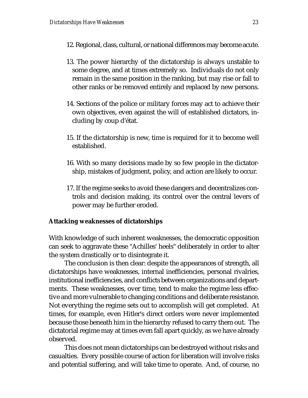- 12. Regional, class, cultural, or national differences may become acute.
- 13. The power hierarchy of the dictatorship is always unstable to some degree, and at times extremely so. Individuals do not only remain in the same position in the ranking, but may rise or fall to other ranks or be removed entirely and replaced by new persons.
- 14. Sections of the police or military forces may act to achieve their own objectives, even against the will of established dictators, including by coup d'état.
- 15. If the dictatorship is new, time is required for it to become well established.
- 16. With so many decisions made by so few people in the dictatorship, mistakes of judgment, policy, and action are likely to occur.
- 17. If the regime seeks to avoid these dangers and decentralizes controls and decision making, its control over the central levers of power may be further eroded.

#### **Attacking weaknesses of dictatorships**

With knowledge of such inherent weaknesses, the democratic opposition can seek to aggravate these "Achilles' heels" deliberately in order to alter the system drastically or to disintegrate it.

The conclusion is then clear: despite the appearances of strength, all dictatorships have weaknesses, internal inefficiencies, personal rivalries, institutional inefficiencies, and conflicts between organizations and departments. These weaknesses, over time, tend to make the regime less effective and more vulnerable to changing conditions and deliberate resistance. Not everything the regime sets out to accomplish will get completed. At times, for example, even Hitler's direct orders were never implemented because those beneath him in the hierarchy refused to carry them out. The dictatorial regime may at times even fall apart quickly, as we have already observed.

This does not mean dictatorships can be destroyed without risks and casualties. Every possible course of action for liberation will involve risks and potential suffering, and will take time to operate. And, of course, no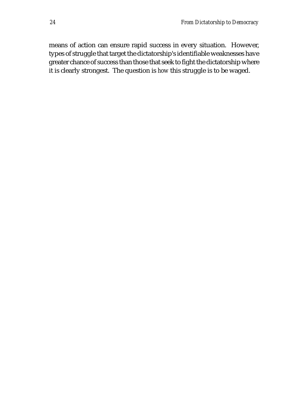means of action can ensure rapid success in every situation. However, types of struggle that target the dictatorship's identifiable weaknesses have greater chance of success than those that seek to fight the dictatorship where it is clearly strongest. The question is *how* this struggle is to be waged.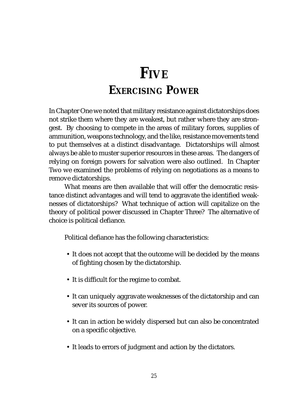## **FIVE EXERCISING POWER**

In Chapter One we noted that military resistance against dictatorships does not strike them where they are weakest, but rather where they are strongest. By choosing to compete in the areas of military forces, supplies of ammunition, weapons technology, and the like, resistance movements tend to put themselves at a distinct disadvantage. Dictatorships will almost always be able to muster superior resources in these areas. The dangers of relying on foreign powers for salvation were also outlined. In Chapter Two we examined the problems of relying on negotiations as a means to remove dictatorships.

What means are then available that will offer the democratic resistance distinct advantages and will tend to aggravate the identified weaknesses of dictatorships? What technique of action will capitalize on the theory of political power discussed in Chapter Three? The alternative of choice is political defiance.

Political defiance has the following characteristics:

- It does not accept that the outcome will be decided by the means of fighting chosen by the dictatorship.
- It is difficult for the regime to combat.
- It can uniquely aggravate weaknesses of the dictatorship and can sever its sources of power.
- It can in action be widely dispersed but can also be concentrated on a specific objective.
- It leads to errors of judgment and action by the dictators.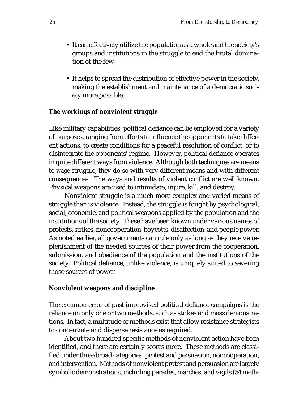- It can effectively utilize the population as a whole and the society's groups and institutions in the struggle to end the brutal domination of the few.
- It helps to spread the distribution of effective power in the society, making the establishment and maintenance of a democratic society more possible.

#### **The workings of nonviolent struggle**

Like military capabilities, political defiance can be employed for a variety of purposes, ranging from efforts to influence the opponents to take different actions, to create conditions for a peaceful resolution of conflict, or to disintegrate the opponents' regime. However, political defiance operates in quite different ways from violence. Although both techniques are means to *wage* struggle, they do so with very different means and with different consequences. The ways and results of violent conflict are well known. Physical weapons are used to intimidate, injure, kill, and destroy.

Nonviolent struggle is a much more complex and varied means of struggle than is violence. Instead, the struggle is fought by psychological, social, economic, and political weapons applied by the population and the institutions of the society. These have been known under various names of protests, strikes, noncooperation, boycotts, disaffection, and people power. As noted earlier, all governments can rule only as long as they receive replenishment of the needed sources of their power from the cooperation, submission, and obedience of the population and the institutions of the society. Political defiance, unlike violence, is uniquely suited to severing those sources of power.

#### **Nonviolent weapons and discipline**

The common error of past improvised political defiance campaigns is the reliance on only one or two methods, such as strikes and mass demonstrations. In fact, a multitude of methods exist that allow resistance strategists to concentrate and disperse resistance as required.

About two hundred specific methods of nonviolent action have been identified, and there are certainly scores more. These methods are classified under three broad categories: protest and persuasion, noncooperation, and intervention. Methods of nonviolent protest and persuasion are largely symbolic demonstrations, including parades, marches, and vigils (54 meth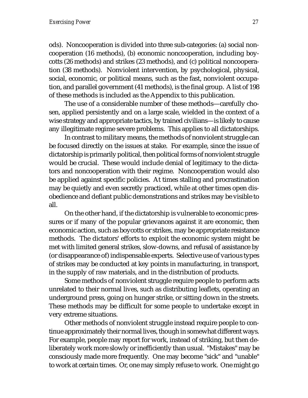ods). Noncooperation is divided into three sub-categories: (a) social noncooperation (16 methods), (b) economic noncooperation, including boycotts (26 methods) and strikes (23 methods), and (c) political noncooperation (38 methods). Nonviolent intervention, by psychological, physical, social, economic, or political means, such as the fast, nonviolent occupation, and parallel government (41 methods), is the final group. A list of 198 of these methods is included as the Appendix to this publication.

The use of a considerable number of these methods—carefully chosen, applied persistently and on a large scale, wielded in the context of a wise strategy and appropriate tactics, by trained civilians—is likely to cause any illegitimate regime severe problems. This applies to all dictatorships.

In contrast to military means, the methods of nonviolent struggle can be focused directly on the issues at stake. For example, since the issue of dictatorship is primarily political, then political forms of nonviolent struggle would be crucial. These would include denial of legitimacy to the dictators and noncooperation with their regime. Noncooperation would also be applied against specific policies. At times stalling and procrastination may be quietly and even secretly practiced, while at other times open disobedience and defiant public demonstrations and strikes may be visible to all.

On the other hand, if the dictatorship is vulnerable to economic pressures or if many of the popular grievances against it are economic, then economic action, such as boycotts or strikes, may be appropriate resistance methods. The dictators' efforts to exploit the economic system might be met with limited general strikes, slow-downs, and refusal of assistance by (or disappearance of) indispensable experts. Selective use of various types of strikes may be conducted at key points in manufacturing, in transport, in the supply of raw materials, and in the distribution of products.

Some methods of nonviolent struggle require people to perform acts unrelated to their normal lives, such as distributing leaflets, operating an underground press, going on hunger strike, or sitting down in the streets. These methods may be difficult for some people to undertake except in very extreme situations.

Other methods of nonviolent struggle instead require people to continue approximately their normal lives, though in somewhat different ways. For example, people may report for work, instead of striking, but then deliberately work more slowly or inefficiently than usual. "Mistakes" may be consciously made more frequently. One may become "sick" and "unable" to work at certain times. Or, one may simply refuse to work. One might go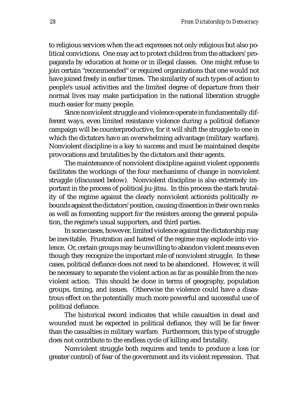to religious services when the act expresses not only religious but also political convictions. One may act to protect children from the attackers' propaganda by education at home or in illegal classes. One might refuse to join certain "recommended" or required organizations that one would not have joined freely in earlier times. The similarity of such types of action to people's usual activities and the limited degree of departure from their normal lives may make participation in the national liberation struggle much easier for many people.

Since nonviolent struggle and violence operate in fundamentally different ways, even limited resistance violence during a political defiance campaign will be counterproductive, for it will shift the struggle to one in which the dictators have an overwhelming advantage (military warfare). Nonviolent discipline is a key to success and must be maintained despite provocations and brutalities by the dictators and their agents.

The maintenance of nonviolent discipline against violent opponents facilitates the workings of the four mechanisms of change in nonviolent struggle (discussed below). Nonviolent discipline is also extremely important in the process of political jiu-jitsu. In this process the stark brutality of the regime against the clearly nonviolent actionists politically rebounds against the dictators' position, causing dissention in their own ranks as well as fomenting support for the resisters among the general population, the regime's usual supporters, and third parties.

In some cases, however, limited violence against the dictatorship may be inevitable. Frustration and hatred of the regime may explode into violence. Or, certain groups may be unwilling to abandon violent means even though they recognize the important role of nonviolent struggle. In these cases, political defiance does not need to be abandoned. However, it will be necessary to separate the violent action as far as possible from the nonviolent action. This should be done in terms of geography, population groups, timing, and issues. Otherwise the violence could have a disastrous effect on the potentially much more powerful and successful use of political defiance.

The historical record indicates that while casualties in dead and wounded must be expected in political defiance, they will be far fewer than the casualties in military warfare. Furthermore, this type of struggle does not contribute to the endless cycle of killing and brutality.

Nonviolent struggle both requires and tends to produce a loss (or greater control) of fear of the government and its violent repression. That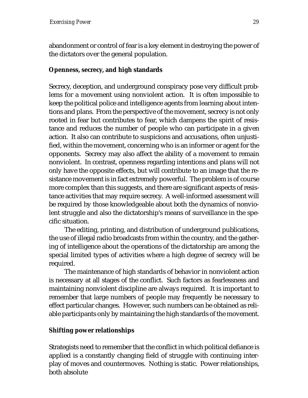abandonment or control of fear is a key element in destroying the power of the dictators over the general population.

# **Openness, secrecy, and high standards**

Secrecy, deception, and underground conspiracy pose very difficult problems for a movement using nonviolent action. It is often impossible to keep the political police and intelligence agents from learning about intentions and plans. From the perspective of the movement, secrecy is not only rooted in fear but contributes to fear, which dampens the spirit of resistance and reduces the number of people who can participate in a given action. It also can contribute to suspicions and accusations, often unjustified, within the movement, concerning who is an informer or agent for the opponents. Secrecy may also affect the ability of a movement to remain nonviolent. In contrast, openness regarding intentions and plans will not only have the opposite effects, but will contribute to an image that the resistance movement is in fact extremely powerful. The problem is of course more complex than this suggests, and there are significant aspects of resistance activities that may require secrecy. A well-informed assessment will be required by those knowledgeable about both the dynamics of nonviolent struggle and also the dictatorship's means of surveillance in the specific situation.

The editing, printing, and distribution of underground publications, the use of illegal radio broadcasts from within the country, and the gathering of intelligence about the operations of the dictatorship are among the special limited types of activities where a high degree of secrecy will be required.

The maintenance of high standards of behavior in nonviolent action is necessary at all stages of the conflict. Such factors as fearlessness and maintaining nonviolent discipline are always required. It is important to remember that large numbers of people may frequently be necessary to effect particular changes. However, such numbers can be obtained as reliable participants only by maintaining the high standards of the movement.

# **Shifting power relationships**

Strategists need to remember that the conflict in which political defiance is applied is a constantly changing field of struggle with continuing interplay of moves and countermoves. Nothing is static. Power relationships, both absolute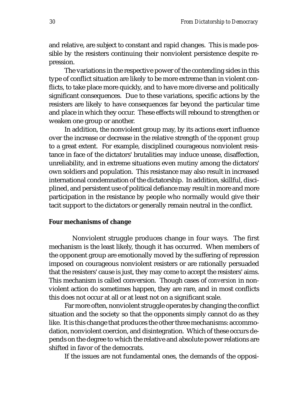and relative, are subject to constant and rapid changes. This is made possible by the resisters continuing their nonviolent persistence despite repression.

The variations in the respective power of the contending sides in this type of conflict situation are likely to be more extreme than in violent conflicts, to take place more quickly, and to have more diverse and politically significant consequences. Due to these variations, specific actions by the resisters are likely to have consequences far beyond the particular time and place in which they occur. These effects will rebound to strengthen or weaken one group or another.

In addition, the nonviolent group may, by its actions exert influence over the increase or decrease in the relative strength of *the opponent group* to a great extent. For example, disciplined courageous nonviolent resistance in face of the dictators' brutalities may induce unease, disaffection, unreliability, and in extreme situations even mutiny among the dictators' own soldiers and population. This resistance may also result in increased international condemnation of the dictatorship. In addition, skillful, disciplined, and persistent use of political defiance may result in more and more participation in the resistance by people who normally would give their tacit support to the dictators or generally remain neutral in the conflict.

#### **Four mechanisms of change**

Nonviolent struggle produces change in four ways. The first mechanism is the least likely, though it has occurred. When members of the opponent group are emotionally moved by the suffering of repression imposed on courageous nonviolent resisters or are rationally persuaded that the resisters' cause is just, they may come to accept the resisters' aims. This mechanism is called conversion. Though cases of *conversion* in nonviolent action do sometimes happen, they are rare, and in most conflicts this does not occur at all or at least not on a significant scale.

Far more often, nonviolent struggle operates by changing the conflict situation and the society so that the opponents simply cannot do as they like. It is this change that produces the other three mechanisms: accommodation, nonviolent coercion, and disintegration. Which of these occurs depends on the degree to which the relative and absolute power relations are shifted in favor of the democrats.

If the issues are not fundamental ones, the demands of the opposi-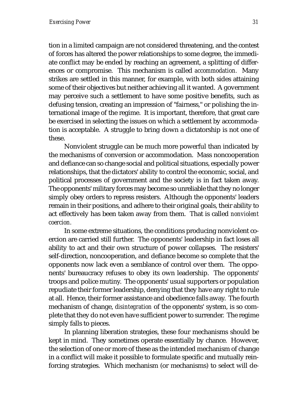tion in a limited campaign are not considered threatening, and the contest of forces has altered the power relationships to some degree, the immediate conflict may be ended by reaching an agreement, a splitting of differences or compromise. This mechanism is called *accommodation.* Many strikes are settled in this manner, for example, with both sides attaining some of their objectives but neither achieving all it wanted. A government may perceive such a settlement to have some positive benefits, such as defusing tension, creating an impression of "fairness," or polishing the international image of the regime. It is important, therefore, that great care be exercised in selecting the issues on which a settlement by accommodation is acceptable. A struggle to bring down a dictatorship is not one of these.

Nonviolent struggle can be much more powerful than indicated by the mechanisms of conversion or accommodation. Mass noncooperation and defiance can so change social and political situations, especially power relationships, that the dictators' ability to control the economic, social, and political processes of government and the society is in fact taken away. The opponents' military forces may become so unreliable that they no longer simply obey orders to repress resisters. Although the opponents' leaders remain in their positions, and adhere to their original goals, their ability to act effectively has been taken away from them. That is called *nonviolent coercion.*

In some extreme situations, the conditions producing nonviolent coercion are carried still further. The opponents' leadership in fact loses all ability to act and their own structure of power collapses. The resisters' self-direction, noncooperation, and defiance become so complete that the opponents now lack even a semblance of control over them. The opponents' bureaucracy refuses to obey its own leadership. The opponents' troops and police mutiny. The opponents' usual supporters or population repudiate their former leadership, denying that they have any right to rule at all. Hence, their former assistance and obedience falls away. The fourth mechanism of change, *disintegration* of the opponents' system, is so complete that they do not even have sufficient power to surrender. The regime simply falls to pieces.

In planning liberation strategies, these four mechanisms should be kept in mind. They sometimes operate essentially by chance. However, the selection of one or more of these as the intended mechanism of change in a conflict will make it possible to formulate specific and mutually reinforcing strategies. Which mechanism (or mechanisms) to select will de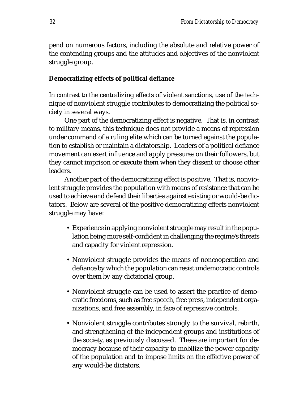pend on numerous factors, including the absolute and relative power of the contending groups and the attitudes and objectives of the nonviolent struggle group.

### **Democratizing effects of political defiance**

In contrast to the centralizing effects of violent sanctions, use of the technique of nonviolent struggle contributes to democratizing the political society in several ways.

One part of the democratizing effect is negative. That is, in contrast to military means, this technique does not provide a means of repression under command of a ruling elite which can be turned against the population to establish or maintain a dictatorship. Leaders of a political defiance movement can exert influence and apply pressures on their followers, but they cannot imprison or execute them when they dissent or choose other leaders.

Another part of the democratizing effect is positive. That is, nonviolent struggle provides the population with means of resistance that can be used to achieve and defend their liberties against existing or would-be dictators. Below are several of the positive democratizing effects nonviolent struggle may have:

- Experience in applying nonviolent struggle may result in the population being more self-confident in challenging the regime's threats and capacity for violent repression.
- Nonviolent struggle provides the means of noncooperation and defiance by which the population can resist undemocratic controls over them by any dictatorial group.
- Nonviolent struggle can be used to assert the practice of democratic freedoms, such as free speech, free press, independent organizations, and free assembly, in face of repressive controls.
- Nonviolent struggle contributes strongly to the survival, rebirth, and strengthening of the independent groups and institutions of the society, as previously discussed. These are important for democracy because of their capacity to mobilize the power capacity of the population and to impose limits on the effective power of any would-be dictators.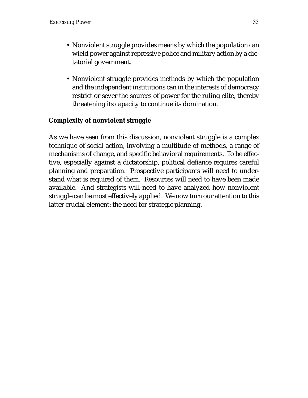- Nonviolent struggle provides means by which the population can wield power against repressive police and military action by a dictatorial government.
- Nonviolent struggle provides methods by which the population and the independent institutions can in the interests of democracy restrict or sever the sources of power for the ruling elite, thereby threatening its capacity to continue its domination.

# **Complexity of nonviolent struggle**

As we have seen from this discussion, nonviolent struggle is a complex technique of social action, involving a multitude of methods, a range of mechanisms of change, and specific behavioral requirements. To be effective, especially against a dictatorship, political defiance requires careful planning and preparation. Prospective participants will need to understand what is required of them. Resources will need to have been made available. And strategists will need to have analyzed how nonviolent struggle can be most effectively applied. We now turn our attention to this latter crucial element: the need for strategic planning.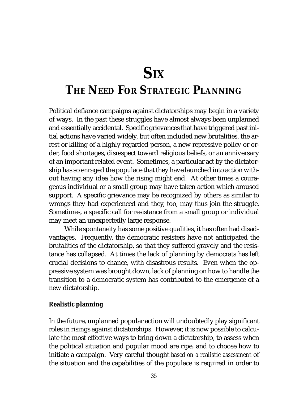# **SIX**

# **THE NEED FOR STRATEGIC PLANNING**

Political defiance campaigns against dictatorships may begin in a variety of ways. In the past these struggles have almost always been unplanned and essentially accidental. Specific grievances that have triggered past initial actions have varied widely, but often included new brutalities, the arrest or killing of a highly regarded person, a new repressive policy or order, food shortages, disrespect toward religious beliefs, or an anniversary of an important related event. Sometimes, a particular act by the dictatorship has so enraged the populace that they have launched into action without having any idea how the rising might end. At other times a courageous individual or a small group may have taken action which aroused support. A specific grievance may be recognized by others as similar to wrongs they had experienced and they, too, may thus join the struggle. Sometimes, a specific call for resistance from a small group or individual may meet an unexpectedly large response.

While spontaneity has some positive qualities, it has often had disadvantages. Frequently, the democratic resisters have not anticipated the brutalities of the dictatorship, so that they suffered gravely and the resistance has collapsed. At times the lack of planning by democrats has left crucial decisions to chance, with disastrous results. Even when the oppressive system was brought down, lack of planning on how to handle the transition to a democratic system has contributed to the emergence of a new dictatorship.

# **Realistic planning**

In the future, unplanned popular action will undoubtedly play significant roles in risings against dictatorships. However, it is now possible to calculate the most effective ways to bring down a dictatorship, to assess when the political situation and popular mood are ripe, and to choose how to initiate a campaign. Very careful thought *based on a realistic assessment* of the situation and the capabilities of the populace is required in order to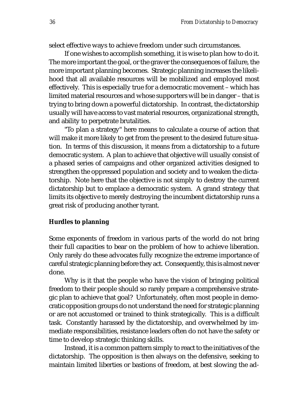select effective ways to achieve freedom under such circumstances.

If one wishes to accomplish something, it is wise to plan how to do it. The more important the goal, or the graver the consequences of failure, the more important planning becomes. Strategic planning increases the likelihood that all available resources will be mobilized and employed most effectively. This is especially true for a democratic movement – which has limited material resources and whose supporters will be in danger – that is trying to bring down a powerful dictatorship. In contrast, the dictatorship usually will have access to vast material resources, organizational strength, and ability to perpetrate brutalities.

"To plan a strategy" here means to calculate a course of action that will make it more likely to get from the present to the desired future situation. In terms of this discussion, it means from a dictatorship to a future democratic system. A plan to achieve that objective will usually consist of a phased series of campaigns and other organized activities designed to strengthen the oppressed population and society and to weaken the dictatorship. Note here that the objective is not simply to destroy the current dictatorship but to emplace a democratic system. A grand strategy that limits its objective to merely destroying the incumbent dictatorship runs a great risk of producing another tyrant.

### **Hurdles to planning**

Some exponents of freedom in various parts of the world do not bring their full capacities to bear on the problem of how to achieve liberation. Only rarely do these advocates fully recognize the extreme importance of careful strategic planning before they act. Consequently, this is almost never done.

Why is it that the people who have the vision of bringing political freedom to their people should so rarely prepare a comprehensive strategic plan to achieve that goal? Unfortunately, often most people in democratic opposition groups do not understand the need for strategic planning or are not accustomed or trained to think strategically. This is a difficult task. Constantly harassed by the dictatorship, and overwhelmed by immediate responsibilities, resistance leaders often do not have the safety or time to develop strategic thinking skills.

Instead, it is a common pattern simply to react to the initiatives of the dictatorship. The opposition is then always on the defensive, seeking to maintain limited liberties or bastions of freedom, at best slowing the ad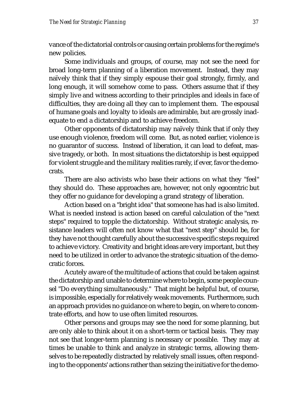vance of the dictatorial controls or causing certain problems for the regime's new policies.

Some individuals and groups, of course, may not see the need for broad long-term planning of a liberation movement. Instead, they may naïvely think that if they simply espouse their goal strongly, firmly, and long enough, it will somehow come to pass. Others assume that if they simply live and witness according to their principles and ideals in face of difficulties, they are doing all they can to implement them. The espousal of humane goals and loyalty to ideals are admirable, but are grossly inadequate to end a dictatorship and to achieve freedom.

Other opponents of dictatorship may naïvely think that if only they use enough violence, freedom will come. But, as noted earlier, violence is no guarantor of success. Instead of liberation, it can lead to defeat, massive tragedy, or both. In most situations the dictatorship is best equipped for violent struggle and the military realities rarely, if ever, favor the democrats.

There are also activists who base their actions on what they "feel" they should do. These approaches are, however, not only egocentric but they offer no guidance for developing a grand strategy of liberation.

Action based on a "bright idea" that someone has had is also limited. What is needed instead is action based on careful calculation of the "next steps" required to topple the dictatorship. Without strategic analysis, resistance leaders will often not know what that "next step" should be, for they have not thought carefully about the successive specific steps required to achieve victory. Creativity and bright ideas are very important, but they need to be utilized in order to advance the strategic situation of the democratic forces.

Acutely aware of the multitude of actions that could be taken against the dictatorship and unable to determine where to begin, some people counsel "Do everything simultaneously." That might be helpful but, of course, is impossible, especially for relatively weak movements. Furthermore, such an approach provides no guidance on where to begin, on where to concentrate efforts, and how to use often limited resources.

Other persons and groups may see the need for some planning, but are only able to think about it on a short-term or tactical basis. They may not see that longer-term planning is necessary or possible. They may at times be unable to think and analyze in strategic terms, allowing themselves to be repeatedly distracted by relatively small issues, often responding to the opponents' actions rather than seizing the initiative for the demo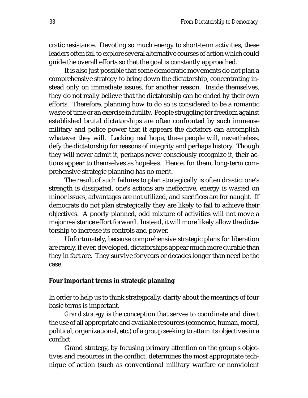cratic resistance. Devoting so much energy to short-term activities, these leaders often fail to explore several alternative courses of action which could guide the overall efforts so that the goal is constantly approached.

It is also just possible that some democratic movements do not plan a comprehensive strategy to bring down the dictatorship, concentrating instead only on immediate issues, for another reason. Inside themselves, they do not really believe that the dictatorship can be ended by their own efforts. Therefore, planning how to do so is considered to be a romantic waste of time or an exercise in futility. People struggling for freedom against established brutal dictatorships are often confronted by such immense military and police power that it appears the dictators can accomplish whatever they will. Lacking real hope, these people will, nevertheless, defy the dictatorship for reasons of integrity and perhaps history. Though they will never admit it, perhaps never consciously recognize it, their actions appear to themselves as hopeless. Hence, for them, long-term comprehensive strategic planning has no merit.

The result of such failures to plan strategically is often drastic: one's strength is dissipated, one's actions are ineffective, energy is wasted on minor issues, advantages are not utilized, and sacrifices are for naught. If democrats do not plan strategically they are likely to fail to achieve their objectives. A poorly planned, odd mixture of activities will not move a major resistance effort forward. Instead, it will more likely allow the dictatorship to increase its controls and power.

Unfortunately, because comprehensive strategic plans for liberation are rarely, if ever, developed, dictatorships appear much more durable than they in fact are. They survive for years or decades longer than need be the case.

### **Four important terms in strategic planning**

In order to help us to think strategically, clarity about the meanings of four basic terms is important.

*Grand strategy* is the conception that serves to coordinate and direct the use of all appropriate and available resources (economic, human, moral, political, organizational, etc.) of a group seeking to attain its objectives in a conflict.

Grand strategy, by focusing primary attention on the group's objectives and resources in the conflict, determines the most appropriate technique of action (such as conventional military warfare or nonviolent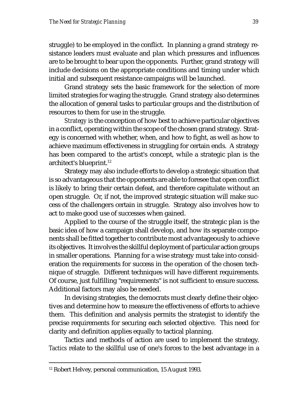struggle) to be employed in the conflict. In planning a grand strategy resistance leaders must evaluate and plan which pressures and influences are to be brought to bear upon the opponents. Further, grand strategy will include decisions on the appropriate conditions and timing under which initial and subsequent resistance campaigns will be launched.

Grand strategy sets the basic framework for the selection of more limited strategies for waging the struggle. Grand strategy also determines the allocation of general tasks to particular groups and the distribution of resources to them for use in the struggle.

*Strategy* is the conception of how best to achieve particular objectives in a conflict, operating within the scope of the chosen grand strategy. Strategy is concerned with whether, when, and how to fight, as well as how to achieve maximum effectiveness in struggling for certain ends. A strategy has been compared to the artist's concept, while a strategic plan is the architect's blueprint.12

Strategy may also include efforts to develop a strategic situation that is so advantageous that the opponents are able to foresee that open conflict is likely to bring their certain defeat, and therefore capitulate without an open struggle. Or, if not, the improved strategic situation will make success of the challengers certain in struggle. Strategy also involves how to act to make good use of successes when gained.

Applied to the course of the struggle itself, the strategic plan is the basic idea of how a campaign shall develop, and how its separate components shall be fitted together to contribute most advantageously to achieve its objectives. It involves the skillful deployment of particular action groups in smaller operations. Planning for a wise strategy must take into consideration the requirements for success in the operation of the chosen technique of struggle. Different techniques will have different requirements. Of course, just fulfilling "requirements" is not sufficient to ensure success. Additional factors may also be needed.

In devising strategies, the democrats must clearly define their objectives and determine how to measure the effectiveness of efforts to achieve them. This definition and analysis permits the strategist to identify the precise requirements for securing each selected objective. This need for clarity and definition applies equally to tactical planning.

Tactics and methods of action are used to implement the strategy. *Tactics* relate to the skillful use of one's forces to the best advantage in a

<sup>&</sup>lt;sup>12</sup> Robert Helvey, personal communication, 15 August 1993.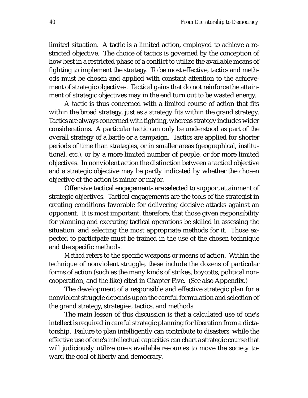limited situation. A tactic is a limited action, employed to achieve a restricted objective. The choice of tactics is governed by the conception of how best in a restricted phase of a conflict to utilize the available means of fighting to implement the strategy. To be most effective, tactics and methods must be chosen and applied with constant attention to the achievement of strategic objectives. Tactical gains that do not reinforce the attainment of strategic objectives may in the end turn out to be wasted energy.

A tactic is thus concerned with a limited course of action that fits within the broad strategy, just as a strategy fits within the grand strategy. Tactics are always concerned with fighting, whereas strategy includes wider considerations. A particular tactic can only be understood as part of the overall strategy of a battle or a campaign. Tactics are applied for shorter periods of time than strategies, or in smaller areas (geographical, institutional, etc.), or by a more limited number of people, or for more limited objectives. In nonviolent action the distinction between a tactical objective and a strategic objective may be partly indicated by whether the chosen objective of the action is minor or major.

Offensive tactical engagements are selected to support attainment of strategic objectives. Tactical engagements are the tools of the strategist in creating conditions favorable for delivering decisive attacks against an opponent. It is most important, therefore, that those given responsibility for planning and executing tactical operations be skilled in assessing the situation, and selecting the most appropriate methods for it. Those expected to participate must be trained in the use of the chosen technique and the specific methods.

*Method* refers to the specific weapons or means of action. Within the technique of nonviolent struggle, these include the dozens of particular forms of action (such as the many kinds of strikes, boycotts, political noncooperation, and the like) cited in Chapter Five. (See also Appendix.)

The development of a responsible and effective strategic plan for a nonviolent struggle depends upon the careful formulation and selection of the grand strategy, strategies, tactics, and methods.

The main lesson of this discussion is that a calculated use of one's intellect is required in careful strategic planning for liberation from a dictatorship. Failure to plan intelligently can contribute to disasters, while the effective use of one's intellectual capacities can chart a strategic course that will judiciously utilize one's available resources to move the society toward the goal of liberty and democracy.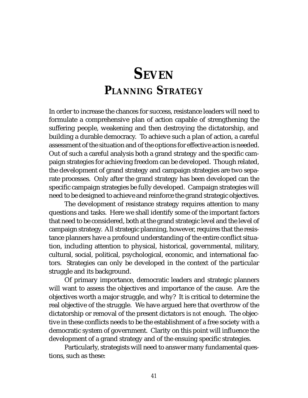# **SEVEN PLANNING STRATEGY**

In order to increase the chances for success, resistance leaders will need to formulate a comprehensive plan of action capable of strengthening the suffering people, weakening and then destroying the dictatorship, and building a durable democracy. To achieve such a plan of action, a careful assessment of the situation and of the options for effective action is needed. Out of such a careful analysis both a grand strategy and the specific campaign strategies for achieving freedom can be developed. Though related, the development of grand strategy and campaign strategies are two separate processes. Only after the grand strategy has been developed can the specific campaign strategies be fully developed. Campaign strategies will need to be designed to achieve and reinforce the grand strategic objectives.

The development of resistance strategy requires attention to many questions and tasks. Here we shall identify some of the important factors that need to be considered, both at the grand strategic level and the level of campaign strategy. All strategic planning, however, requires that the resistance planners have a profound understanding of the entire conflict situation, including attention to physical, historical, governmental, military, cultural, social, political, psychological, economic, and international factors. Strategies can only be developed in the context of the particular struggle and its background.

Of primary importance, democratic leaders and strategic planners will want to assess the objectives and importance of the cause. Are the objectives worth a major struggle, and why? It is critical to determine the real objective of the struggle. We have argued here that overthrow of the dictatorship or removal of the present dictators is *not* enough. The objective in these conflicts needs to be the establishment of a free society with a democratic system of government. Clarity on this point will influence the development of a grand strategy and of the ensuing specific strategies.

Particularly, strategists will need to answer many fundamental questions, such as these: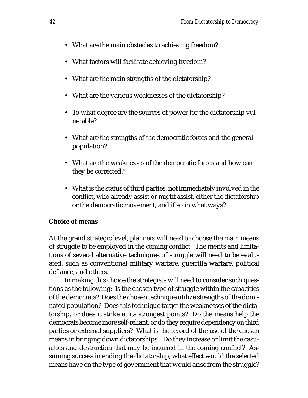- What are the main obstacles to achieving freedom?
- What factors will facilitate achieving freedom?
- What are the main strengths of the dictatorship?
- What are the various weaknesses of the dictatorship?
- To what degree are the sources of power for the dictatorship vulnerable?
- What are the strengths of the democratic forces and the general population?
- What are the weaknesses of the democratic forces and how can they be corrected?
- What is the status of third parties, not immediately involved in the conflict, who already assist or might assist, either the dictatorship or the democratic movement, and if so in what ways?

### **Choice of means**

At the grand strategic level, planners will need to choose the main means of struggle to be employed in the coming conflict. The merits and limitations of several alternative techniques of struggle will need to be evaluated, such as conventional military warfare, guerrilla warfare, political defiance, and others.

In making this choice the strategists will need to consider such questions as the following: Is the chosen type of struggle within the capacities of the democrats? Does the chosen technique utilize strengths of the dominated population? Does this technique target the weaknesses of the dictatorship, or does it strike at its strongest points? Do the means help the democrats become more self-reliant, or do they require dependency on third parties or external suppliers? What is the record of the use of the chosen means in bringing down dictatorships? Do they increase or limit the casualties and destruction that may be incurred in the coming conflict? Assuming success in ending the dictatorship, what effect would the selected means have on the type of government that would arise from the struggle?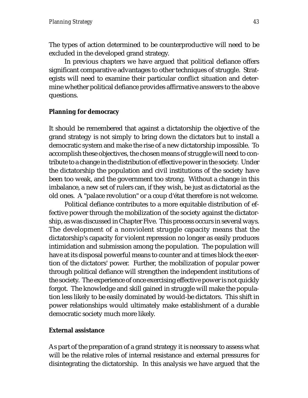The types of action determined to be counterproductive will need to be excluded in the developed grand strategy.

In previous chapters we have argued that political defiance offers significant comparative advantages to other techniques of struggle. Strategists will need to examine their particular conflict situation and determine whether political defiance provides affirmative answers to the above questions.

# **Planning for democracy**

It should be remembered that against a dictatorship the objective of the grand strategy is not simply to bring down the dictators but to install a democratic system and make the rise of a new dictatorship impossible. To accomplish these objectives, the chosen means of struggle will need to contribute to a change in the distribution of effective power in the society. Under the dictatorship the population and civil institutions of the society have been too weak, and the government too strong. Without a change in this imbalance, a new set of rulers can, if they wish, be just as dictatorial as the old ones. A "palace revolution" or a coup d'état therefore is not welcome.

Political defiance contributes to a more equitable distribution of effective power through the mobilization of the society against the dictatorship, as was discussed in Chapter Five. This process occurs in several ways. The development of a nonviolent struggle capacity means that the dictatorship's capacity for violent repression no longer as easily produces intimidation and submission among the population. The population will have at its disposal powerful means to counter and at times block the exertion of the dictators' power. Further, the mobilization of popular power through political defiance will strengthen the independent institutions of the society. The experience of once exercising effective power is not quickly forgot. The knowledge and skill gained in struggle will make the population less likely to be easily dominated by would-be dictators. This shift in power relationships would ultimately make establishment of a durable democratic society much more likely.

# **External assistance**

As part of the preparation of a grand strategy it is necessary to assess what will be the relative roles of internal resistance and external pressures for disintegrating the dictatorship. In this analysis we have argued that the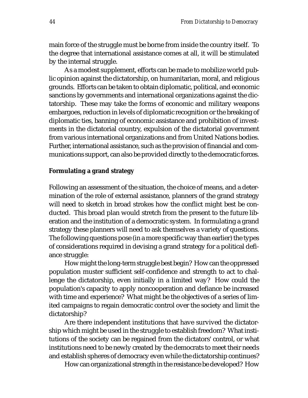main force of the struggle must be borne from inside the country itself. To the degree that international assistance comes at all, it will be stimulated by the internal struggle.

As a modest supplement, efforts can be made to mobilize world public opinion against the dictatorship, on humanitarian, moral, and religious grounds. Efforts can be taken to obtain diplomatic, political, and economic sanctions by governments and international organizations against the dictatorship. These may take the forms of economic and military weapons embargoes, reduction in levels of diplomatic recognition or the breaking of diplomatic ties, banning of economic assistance and prohibition of investments in the dictatorial country, expulsion of the dictatorial government from various international organizations and from United Nations bodies. Further, international assistance, such as the provision of financial and communications support, can also be provided directly to the democratic forces.

### **Formulating a grand strategy**

Following an assessment of the situation, the choice of means, and a determination of the role of external assistance, planners of the grand strategy will need to sketch in broad strokes how the conflict might best be conducted. This broad plan would stretch from the present to the future liberation and the institution of a democratic system. In formulating a grand strategy these planners will need to ask themselves a variety of questions. The following questions pose (in a more specific way than earlier) the types of considerations required in devising a grand strategy for a political defiance struggle:

How might the long-term struggle best begin? How can the oppressed population muster sufficient self-confidence and strength to act to challenge the dictatorship, even initially in a limited way? How could the population's capacity to apply noncooperation and defiance be increased with time and experience? What might be the objectives of a series of limited campaigns to regain democratic control over the society and limit the dictatorship?

Are there independent institutions that have survived the dictatorship which might be used in the struggle to establish freedom? What institutions of the society can be regained from the dictators' control, or what institutions need to be newly created by the democrats to meet their needs and establish spheres of democracy even while the dictatorship continues?

How can organizational strength in the resistance be developed? How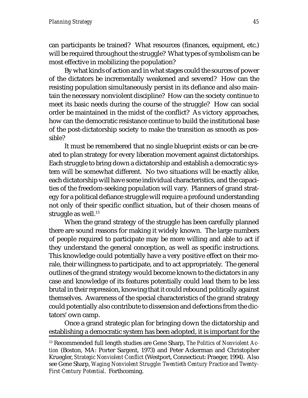can participants be trained? What resources (finances, equipment, etc.) will be required throughout the struggle? What types of symbolism can be most effective in mobilizing the population?

By what kinds of action and in what stages could the sources of power of the dictators be incrementally weakened and severed? How can the resisting population simultaneously persist in its defiance and also maintain the necessary nonviolent discipline? How can the society continue to meet its basic needs during the course of the struggle? How can social order be maintained in the midst of the conflict? As victory approaches, how can the democratic resistance continue to build the institutional base of the post-dictatorship society to make the transition as smooth as possible?

It must be remembered that no single blueprint exists or can be created to plan strategy for every liberation movement against dictatorships. Each struggle to bring down a dictatorship and establish a democratic system will be somewhat different. No two situations will be exactly alike, each dictatorship will have some individual characteristics, and the capacities of the freedom-seeking population will vary. Planners of grand strategy for a political defiance struggle will require a profound understanding not only of their specific conflict situation, but of their chosen means of struggle as well.<sup>13</sup>

When the grand strategy of the struggle has been carefully planned there are sound reasons for making it widely known. The large numbers of people required to participate may be more willing and able to act if they understand the general conception, as well as specific instructions. This knowledge could potentially have a very positive effect on their morale, their willingness to participate, and to act appropriately. The general outlines of the grand strategy would become known to the dictators in any case and knowledge of its features potentially could lead them to be less brutal in their repression, knowing that it could rebound politically against themselves. Awareness of the special characteristics of the grand strategy could potentially also contribute to dissension and defections from the dictators' own camp.

Once a grand strategic plan for bringing down the dictatorship and establishing a democratic system has been adopted, it is important for the

<sup>13</sup> Recommended full length studies are Gene Sharp, *The Politics of Nonviolent Action* (Boston, MA: Porter Sargent, 1973) and Peter Ackerman and Christopher Kruegler, *Strategic Nonviolent Conflict* (Westport, Connecticut: Praeger, 1994). Also see Gene Sharp, *Waging Nonviolent Struggle: Twentieth Century Practice and Twenty-First Century Potential*. Forthcoming.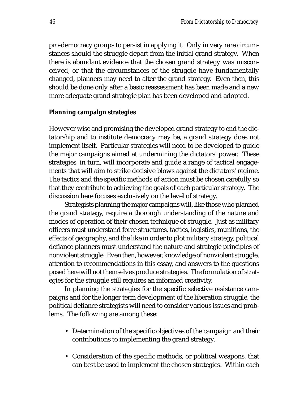pro-democracy groups to persist in applying it. Only in very rare circumstances should the struggle depart from the initial grand strategy. When there is abundant evidence that the chosen grand strategy was misconceived, or that the circumstances of the struggle have fundamentally changed, planners may need to alter the grand strategy. Even then, this should be done only after a basic reassessment has been made and a new more adequate grand strategic plan has been developed and adopted.

### **Planning campaign strategies**

However wise and promising the developed grand strategy to end the dictatorship and to institute democracy may be, a grand strategy does not implement itself. Particular strategies will need to be developed to guide the major campaigns aimed at undermining the dictators' power. These strategies, in turn, will incorporate and guide a range of tactical engagements that will aim to strike decisive blows against the dictators' regime. The tactics and the specific methods of action must be chosen carefully so that they contribute to achieving the goals of each particular strategy. The discussion here focuses exclusively on the level of strategy.

Strategists planning the major campaigns will, like those who planned the grand strategy, require a thorough understanding of the nature and modes of operation of their chosen technique of struggle. Just as military officers must understand force structures, tactics, logistics, munitions, the effects of geography, and the like in order to plot military strategy, political defiance planners must understand the nature and strategic principles of nonviolent struggle. Even then, however, knowledge of nonviolent struggle, attention to recommendations in this essay, and answers to the questions posed here will not themselves produce strategies. The formulation of strategies for the struggle still requires an informed creativity.

In planning the strategies for the specific selective resistance campaigns and for the longer term development of the liberation struggle, the political defiance strategists will need to consider various issues and problems. The following are among these:

- Determination of the specific objectives of the campaign and their contributions to implementing the grand strategy.
- Consideration of the specific methods, or political weapons, that can best be used to implement the chosen strategies. Within each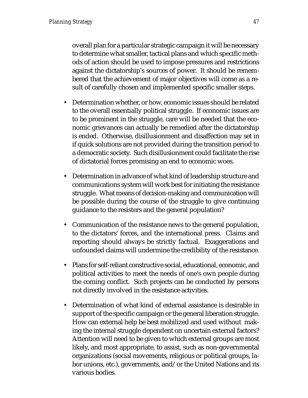overall plan for a particular strategic campaign it will be necessary to determine what smaller, tactical plans and which specific methods of action should be used to impose pressures and restrictions against the dictatorship's sources of power. It should be remembered that the achievement of major objectives will come as a result of carefully chosen and implemented specific smaller steps.

- Determination whether, or how, economic issues should be related to the overall essentially political struggle. If economic issues are to be prominent in the struggle, care will be needed that the economic grievances can actually be remedied after the dictatorship is ended. Otherwise, disillusionment and disaffection may set in if quick solutions are not provided during the transition period to a democratic society. Such disillusionment could facilitate the rise of dictatorial forces promising an end to economic woes.
- Determination in advance of what kind of leadership structure and communications system will work best for initiating the resistance struggle. What means of decision-making and communication will be possible during the course of the struggle to give continuing guidance to the resisters and the general population?
- Communication of the resistance news to the general population, to the dictators' forces, and the international press. Claims and reporting should always be strictly factual. Exaggerations and unfounded claims will undermine the credibility of the resistance.
- Plans for self-reliant constructive social, educational, economic, and political activities to meet the needs of one's own people during the coming conflict. Such projects can be conducted by persons not directly involved in the resistance activities.
- Determination of what kind of external assistance is desirable in support of the specific campaign or the general liberation struggle. How can external help be best mobilized and used without making the internal struggle dependent on uncertain external factors? Attention will need to be given to which external groups are most likely, and most appropriate, to assist, such as non-governmental organizations (social movements, religious or political groups, labor unions, etc.), governments, and/or the United Nations and its various bodies.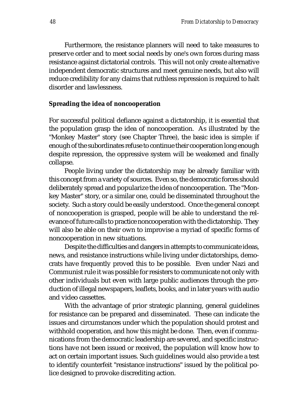Furthermore, the resistance planners will need to take measures to preserve order and to meet social needs by one's own forces during mass resistance against dictatorial controls. This will not only create alternative independent democratic structures and meet genuine needs, but also will reduce credibility for any claims that ruthless repression is required to halt disorder and lawlessness.

### **Spreading the idea of noncooperation**

For successful political defiance against a dictatorship, it is essential that the population grasp the idea of noncooperation. As illustrated by the "Monkey Master" story (see Chapter Three), the basic idea is simple: if enough of the subordinates refuse to continue their cooperation long enough despite repression, the oppressive system will be weakened and finally collapse.

People living under the dictatorship may be already familiar with this concept from a variety of sources. Even so, the democratic forces should deliberately spread and popularize the idea of noncooperation. The "Monkey Master" story, or a similar one, could be disseminated throughout the society. Such a story could be easily understood. Once the general concept of noncooperation is grasped, people will be able to understand the relevance of future calls to practice noncooperation with the dictatorship. They will also be able on their own to improvise a myriad of specific forms of noncooperation in new situations.

Despite the difficulties and dangers in attempts to communicate ideas, news, and resistance instructions while living under dictatorships, democrats have frequently proved this to be possible. Even under Nazi and Communist rule it was possible for resisters to communicate not only with other individuals but even with large public audiences through the production of illegal newspapers, leaflets, books, and in later years with audio and video cassettes.

With the advantage of prior strategic planning, general guidelines for resistance can be prepared and disseminated. These can indicate the issues and circumstances under which the population should protest and withhold cooperation, and how this might be done. Then, even if communications from the democratic leadership are severed, and specific instructions have not been issued or received, the population will know how to act on certain important issues. Such guidelines would also provide a test to identify counterfeit "resistance instructions" issued by the political police designed to provoke discrediting action.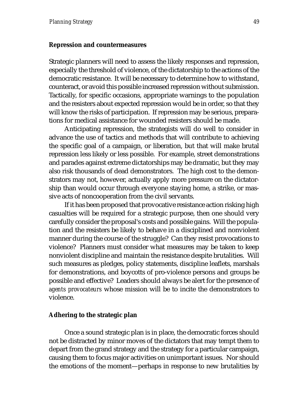#### **Repression and countermeasures**

Strategic planners will need to assess the likely responses and repression, especially the threshold of violence, of the dictatorship to the actions of the democratic resistance. It will be necessary to determine how to withstand, counteract, or avoid this possible increased repression without submission. Tactically, for specific occasions, appropriate warnings to the population and the resisters about expected repression would be in order, so that they will know the risks of participation. If repression may be serious, preparations for medical assistance for wounded resisters should be made.

Anticipating repression, the strategists will do well to consider in advance the use of tactics and methods that will contribute to achieving the specific goal of a campaign, or liberation, but that will make brutal repression less likely or less possible. For example, street demonstrations and parades against extreme dictatorships may be dramatic, but they may also risk thousands of dead demonstrators. The high cost to the demonstrators may not, however, actually apply more pressure on the dictatorship than would occur through everyone staying home, a strike, or massive acts of noncooperation from the civil servants.

If it has been proposed that provocative resistance action risking high casualties will be required for a strategic purpose, then one should very carefully consider the proposal's costs and possible gains. Will the population and the resisters be likely to behave in a disciplined and nonviolent manner during the course of the struggle? Can they resist provocations to violence? Planners must consider what measures may be taken to keep nonviolent discipline and maintain the resistance despite brutalities. Will such measures as pledges, policy statements, discipline leaflets, marshals for demonstrations, and boycotts of pro-violence persons and groups be possible and effective? Leaders should always be alert for the presence of *agents provocateurs* whose mission will be to incite the demonstrators to violence.

### **Adhering to the strategic plan**

Once a sound strategic plan is in place, the democratic forces should not be distracted by minor moves of the dictators that may tempt them to depart from the grand strategy and the strategy for a particular campaign, causing them to focus major activities on unimportant issues. Nor should the emotions of the moment—perhaps in response to new brutalities by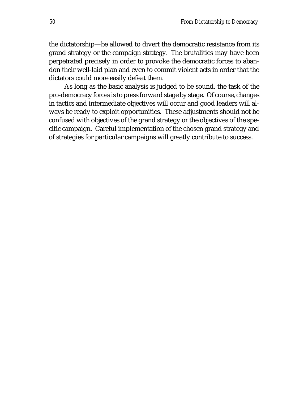the dictatorship—be allowed to divert the democratic resistance from its grand strategy or the campaign strategy. The brutalities may have been perpetrated precisely in order to provoke the democratic forces to abandon their well-laid plan and even to commit violent acts in order that the dictators could more easily defeat them.

As long as the basic analysis is judged to be sound, the task of the pro-democracy forces is to press forward stage by stage. Of course, changes in tactics and intermediate objectives will occur and good leaders will always be ready to exploit opportunities. These adjustments should not be confused with objectives of the grand strategy or the objectives of the specific campaign. Careful implementation of the chosen grand strategy and of strategies for particular campaigns will greatly contribute to success.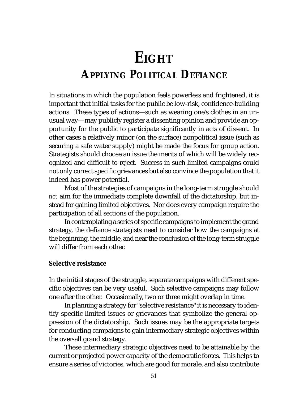# **EIGHT APPLYING POLITICAL DEFIANCE**

In situations in which the population feels powerless and frightened, it is important that initial tasks for the public be low-risk, confidence-building actions. These types of actions—such as wearing one's clothes in an unusual way—may publicly register a dissenting opinion and provide an opportunity for the public to participate significantly in acts of dissent. In other cases a relatively minor (on the surface) nonpolitical issue (such as securing a safe water supply) might be made the focus for group action. Strategists should choose an issue the merits of which will be widely recognized and difficult to reject. Success in such limited campaigns could not only correct specific grievances but also convince the population that it indeed has power potential.

Most of the strategies of campaigns in the long-term struggle should *not* aim for the immediate complete downfall of the dictatorship, but instead for gaining limited objectives. Nor does every campaign require the participation of all sections of the population.

In contemplating a series of specific campaigns to implement the grand strategy, the defiance strategists need to consider how the campaigns at the beginning, the middle, and near the conclusion of the long-term struggle will differ from each other.

### **Selective resistance**

In the initial stages of the struggle, separate campaigns with different specific objectives can be very useful. Such selective campaigns may follow one after the other. Occasionally, two or three might overlap in time.

In planning a strategy for "selective resistance" it is necessary to identify specific limited issues or grievances that symbolize the general oppression of the dictatorship. Such issues may be the appropriate targets for conducting campaigns to gain intermediary strategic objectives within the over-all grand strategy.

These intermediary strategic objectives need to be attainable by the current or projected power capacity of the democratic forces. This helps to ensure a series of victories, which are good for morale, and also contribute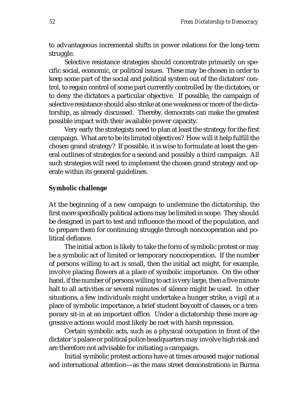to advantageous incremental shifts in power relations for the long-term struggle.

Selective resistance strategies should concentrate primarily on specific social, economic, or political issues. These may be chosen in order to keep some part of the social and political system out of the dictators' control, to regain control of some part currently controlled by the dictators, or to deny the dictators a particular objective. If possible, the campaign of selective resistance should also strike at one weakness or more of the dictatorship, as already discussed. Thereby, democrats can make the greatest possible impact with their available power capacity.

Very early the strategists need to plan at least the strategy for the first campaign. What are to be its limited objectives? How will it help fulfill the chosen grand strategy? If possible, it is wise to formulate at least the general outlines of strategies for a second and possibly a third campaign. All such strategies will need to implement the chosen grand strategy and operate within its general guidelines.

### **Symbolic challenge**

At the beginning of a new campaign to undermine the dictatorship, the first more specifically political actions may be limited in scope. They should be designed in part to test and influence the mood of the population, and to prepare them for continuing struggle through noncooperation and political defiance.

The initial action is likely to take the form of symbolic protest or may be a symbolic act of limited or temporary noncooperation. If the number of persons willing to act is small, then the initial act might, for example, involve placing flowers at a place of symbolic importance. On the other hand, if the number of persons willing to act is very large, then a five minute halt to all activities or several minutes of silence might be used. In other situations, a few individuals might undertake a hunger strike, a vigil at a place of symbolic importance, a brief student boycott of classes, or a temporary sit-in at an important office. Under a dictatorship these more aggressive actions would most likely be met with harsh repression.

Certain symbolic acts, such as a physical occupation in front of the dictator's palace or political police headquarters may involve high risk and are therefore not advisable for initiating a campaign.

Initial symbolic protest actions have at times aroused major national and international attention—as the mass street demonstrations in Burma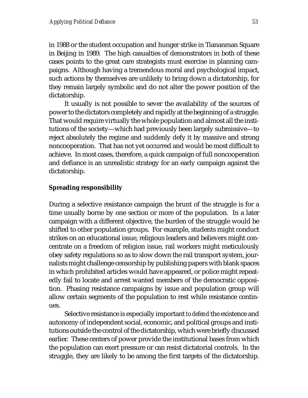in 1988 or the student occupation and hunger strike in Tiananman Square in Beijing in 1989. The high casualties of demonstrators in both of these cases points to the great care strategists must exercise in planning campaigns. Although having a tremendous moral and psychological impact, such actions by themselves are unlikely to bring down a dictatorship, for they remain largely symbolic and do not alter the power position of the dictatorship.

It usually is not possible to sever the availability of the sources of power to the dictators completely and rapidly at the beginning of a struggle. That would require virtually the whole population and almost all the institutions of the society—which had previously been largely submissive—to reject absolutely the regime and suddenly defy it by massive and strong noncooperation. That has not yet occurred and would be most difficult to achieve. In most cases, therefore, a quick campaign of full noncooperation and defiance is an unrealistic strategy for an early campaign against the dictatorship.

# **Spreading responsibility**

During a selective resistance campaign the brunt of the struggle is for a time usually borne by one section or more of the population. In a later campaign with a different objective, the burden of the struggle would be shifted to other population groups. For example, students might conduct strikes on an educational issue, religious leaders and believers might concentrate on a freedom of religion issue, rail workers might meticulously obey safety regulations so as to slow down the rail transport system, journalists might challenge censorship by publishing papers with blank spaces in which prohibited articles would have appeared, or police might repeatedly fail to locate and arrest wanted members of the democratic opposition. Phasing resistance campaigns by issue and population group will allow certain segments of the population to rest while resistance continues.

Selective resistance is especially important *to defend* the existence and autonomy of independent social, economic, and political groups and institutions outside the control of the dictatorship, which were briefly discussed earlier. These centers of power provide the institutional bases from which the population can exert pressure or can resist dictatorial controls. In the struggle, they are likely to be among the first targets of the dictatorship.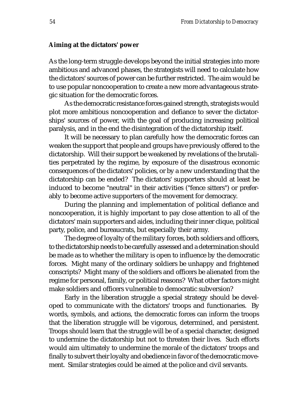#### **Aiming at the dictators' power**

As the long-term struggle develops beyond the initial strategies into more ambitious and advanced phases, the strategists will need to calculate how the dictators' sources of power can be further restricted. The aim would be to use popular noncooperation to create a new more advantageous strategic situation for the democratic forces.

As the democratic resistance forces gained strength, strategists would plot more ambitious noncooperation and defiance to sever the dictatorships' sources of power, with the goal of producing increasing political paralysis, and in the end the disintegration of the dictatorship itself.

It will be necessary to plan carefully how the democratic forces can weaken the support that people and groups have previously offered to the dictatorship. Will their support be weakened by revelations of the brutalities perpetrated by the regime, by exposure of the disastrous economic consequences of the dictators' policies, or by a new understanding that the dictatorship can be ended? The dictators' supporters should at least be induced to become "neutral" in their activities ("fence sitters") or preferably to become active supporters of the movement for democracy.

During the planning and implementation of political defiance and noncooperation, it is highly important to pay close attention to all of the dictators' main supporters and aides, including their inner clique, political party, police, and bureaucrats, but especially their army.

The degree of loyalty of the military forces, both soldiers and officers, to the dictatorship needs to be carefully assessed and a determination should be made as to whether the military is open to influence by the democratic forces. Might many of the ordinary soldiers be unhappy and frightened conscripts? Might many of the soldiers and officers be alienated from the regime for personal, family, or political reasons? What other factors might make soldiers and officers vulnerable to democratic subversion?

Early in the liberation struggle a special strategy should be developed to communicate with the dictators' troops and functionaries. By words, symbols, and actions, the democratic forces can inform the troops that the liberation struggle will be vigorous, determined, and persistent. Troops should learn that the struggle will be of a special character, designed to undermine the dictatorship but not to threaten their lives. Such efforts would aim ultimately to undermine the morale of the dictators' troops and finally to subvert their loyalty and obedience in favor of the democratic movement. Similar strategies could be aimed at the police and civil servants.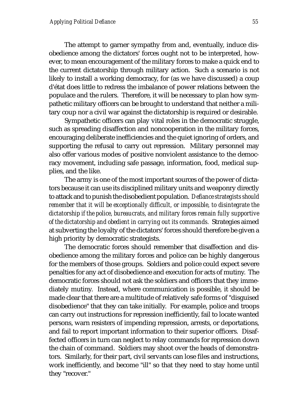The attempt to garner sympathy from and, eventually, induce disobedience among the dictators' forces ought not to be interpreted, however, to mean encouragement of the military forces to make a quick end to the current dictatorship through military action. Such a scenario is not likely to install a working democracy, for (as we have discussed) a coup d'état does little to redress the imbalance of power relations between the populace and the rulers. Therefore, it will be necessary to plan how sympathetic military officers can be brought to understand that neither a military coup nor a civil war against the dictatorship is required or desirable.

Sympathetic officers can play vital roles in the democratic struggle, such as spreading disaffection and noncooperation in the military forces, encouraging deliberate inefficiencies and the quiet ignoring of orders, and supporting the refusal to carry out repression. Military personnel may also offer various modes of positive nonviolent assistance to the democracy movement, including safe passage, information, food, medical supplies, and the like.

The army is one of the most important sources of the power of dictators because it can use its disciplined military units and weaponry directly to attack and to punish the disobedient population. *Defiance strategists should remember that it will be exceptionally difficult, or impossible, to disintegrate the dictatorship if the police, bureaucrats, and military forces remain fully supportive of the dictatorship and obedient in carrying out its commands.* Strategies aimed at subverting the loyalty of the dictators' forces should therefore be given a high priority by democratic strategists.

The democratic forces should remember that disaffection and disobedience among the military forces and police can be highly dangerous for the members of those groups. Soldiers and police could expect severe penalties for any act of disobedience and execution for acts of mutiny. The democratic forces should not ask the soldiers and officers that they immediately mutiny. Instead, where communication is possible, it should be made clear that there are a multitude of relatively safe forms of "disguised disobedience" that they can take initially. For example, police and troops can carry out instructions for repression inefficiently, fail to locate wanted persons, warn resisters of impending repression, arrests, or deportations, and fail to report important information to their superior officers. Disaffected officers in turn can neglect to relay commands for repression down the chain of command. Soldiers may shoot over the heads of demonstrators. Similarly, for their part, civil servants can lose files and instructions, work inefficiently, and become "ill" so that they need to stay home until they "recover."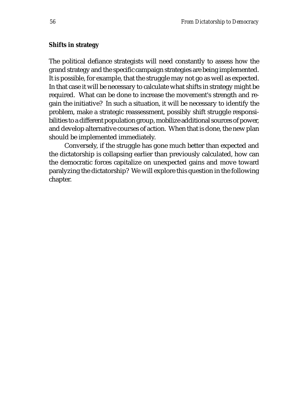### **Shifts in strategy**

The political defiance strategists will need constantly to assess how the grand strategy and the specific campaign strategies are being implemented. It is possible, for example, that the struggle may not go as well as expected. In that case it will be necessary to calculate what shifts in strategy might be required. What can be done to increase the movement's strength and regain the initiative? In such a situation, it will be necessary to identify the problem, make a strategic reassessment, possibly shift struggle responsibilities to a different population group, mobilize additional sources of power, and develop alternative courses of action. When that is done, the new plan should be implemented immediately.

Conversely, if the struggle has gone much better than expected and the dictatorship is collapsing earlier than previously calculated, how can the democratic forces capitalize on unexpected gains and move toward paralyzing the dictatorship? We will explore this question in the following chapter.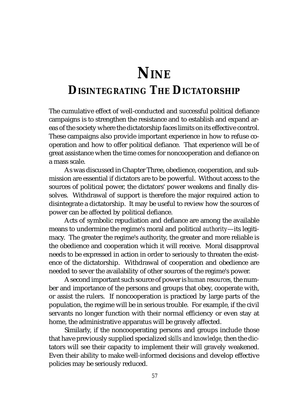# **NINE DISINTEGRATING THE DICTATORSHIP**

The cumulative effect of well-conducted and successful political defiance campaigns is to strengthen the resistance and to establish and expand areas of the society where the dictatorship faces limits on its effective control. These campaigns also provide important experience in how to refuse cooperation and how to offer political defiance. That experience will be of great assistance when the time comes for noncooperation and defiance on a mass scale.

As was discussed in Chapter Three, obedience, cooperation, and submission are essential if dictators are to be powerful. Without access to the sources of political power, the dictators' power weakens and finally dissolves. Withdrawal of support is therefore the major required action to disintegrate a dictatorship. It may be useful to review how the sources of power can be affected by political defiance.

Acts of symbolic repudiation and defiance are among the available means to undermine the regime's moral and political *authority*—its legitimacy. The greater the regime's authority, the greater and more reliable is the obedience and cooperation which it will receive. Moral disapproval needs to be expressed in action in order to seriously to threaten the existence of the dictatorship. Withdrawal of cooperation and obedience are needed to sever the availability of other sources of the regime's power.

A second important such source of power is *human resources,* the number and importance of the persons and groups that obey, cooperate with, or assist the rulers. If noncooperation is practiced by large parts of the population, the regime will be in serious trouble. For example, if the civil servants no longer function with their normal efficiency or even stay at home, the administrative apparatus will be gravely affected.

Similarly, if the noncooperating persons and groups include those that have previously supplied specialized *skills and knowledge,* then the dictators will see their capacity to implement their will gravely weakened. Even their ability to make well-informed decisions and develop effective policies may be seriously reduced.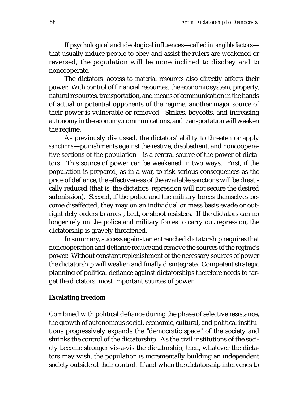If psychological and ideological influences—called *intangible factors* that usually induce people to obey and assist the rulers are weakened or reversed, the population will be more inclined to disobey and to noncooperate.

The dictators' access to *material resources* also directly affects their power. With control of financial resources, the economic system, property, natural resources, transportation, and means of communication in the hands of actual or potential opponents of the regime, another major source of their power is vulnerable or removed. Strikes, boycotts, and increasing autonomy in the economy, communications, and transportation will weaken the regime.

As previously discussed, the dictators' ability to threaten or apply *sanctions*—punishments against the restive, disobedient, and noncooperative sections of the population—is a central source of the power of dictators. This source of power can be weakened in two ways. First, if the population is prepared, as in a war, to risk serious consequences as the price of defiance, the effectiveness of the available sanctions will be drastically reduced (that is, the dictators' repression will not secure the desired submission). Second, if the police and the military forces themselves become disaffected, they may on an individual or mass basis evade or outright defy orders to arrest, beat, or shoot resisters. If the dictators can no longer rely on the police and military forces to carry out repression, the dictatorship is gravely threatened.

In summary, success against an entrenched dictatorship requires that noncooperation and defiance reduce and remove the sources of the regime's power. Without constant replenishment of the necessary sources of power the dictatorship will weaken and finally disintegrate. Competent strategic planning of political defiance against dictatorships therefore needs to target the dictators' most important sources of power.

### **Escalating freedom**

Combined with political defiance during the phase of selective resistance, the growth of autonomous social, economic, cultural, and political institutions progressively expands the "democratic space" of the society and shrinks the control of the dictatorship. As the civil institutions of the society become stronger vis-à-vis the dictatorship, then, whatever the dictators may wish, the population is incrementally building an independent society outside of their control. If and when the dictatorship intervenes to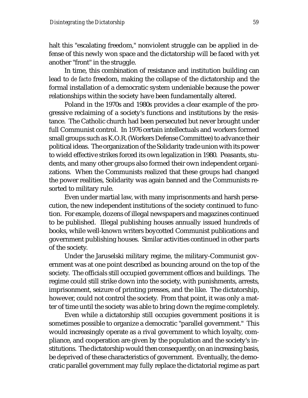halt this "escalating freedom," nonviolent struggle can be applied in defense of this newly won space and the dictatorship will be faced with yet another "front" in the struggle.

In time, this combination of resistance and institution building can lead to *de facto* freedom, making the collapse of the dictatorship and the formal installation of a democratic system undeniable because the power relationships within the society have been fundamentally altered.

Poland in the 1970s and 1980s provides a clear example of the progressive reclaiming of a society's functions and institutions by the resistance. The Catholic church had been persecuted but never brought under full Communist control. In 1976 certain intellectuals and workers formed small groups such as K.O.R. (Workers Defense Committee) to advance their political ideas. The organization of the Solidarity trade union with its power to wield effective strikes forced its own legalization in 1980. Peasants, students, and many other groups also formed their own independent organizations. When the Communists realized that these groups had changed the power realities, Solidarity was again banned and the Communists resorted to military rule.

Even under martial law, with many imprisonments and harsh persecution, the new independent institutions of the society continued to function. For example, dozens of illegal newspapers and magazines continued to be published. Illegal publishing houses annually issued hundreds of books, while well-known writers boycotted Communist publications and government publishing houses. Similar activities continued in other parts of the society.

Under the Jaruselski military regime, the military-Communist government was at one point described as bouncing around on the top of the society. The officials still occupied government offices and buildings. The regime could still strike down into the society, with punishments, arrests, imprisonment, seizure of printing presses, and the like. The dictatorship, however, could not control the society. From that point, it was only a matter of time until the society was able to bring down the regime completely.

Even while a dictatorship still occupies government positions it is sometimes possible to organize a democratic "parallel government." This would increasingly operate as a rival government to which loyalty, compliance, and cooperation are given by the population and the society's institutions. The dictatorship would then consequently, on an increasing basis, be deprived of these characteristics of government. Eventually, the democratic parallel government may fully replace the dictatorial regime as part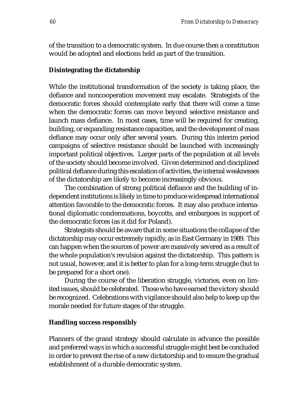of the transition to a democratic system. In due course then a constitution would be adopted and elections held as part of the transition.

### **Disintegrating the dictatorship**

While the institutional transformation of the society is taking place, the defiance and noncooperation movement may escalate. Strategists of the democratic forces should contemplate early that there will come a time when the democratic forces can move beyond selective resistance and launch mass defiance. In most cases, time will be required for creating, building, or expanding resistance capacities, and the development of mass defiance may occur only after several years. During this interim period campaigns of selective resistance should be launched with increasingly important political objectives. Larger parts of the population at all levels of the society should become involved. Given determined and disciplined political defiance during this escalation of activities, the internal weaknesses of the dictatorship are likely to become increasingly obvious.

The combination of strong political defiance and the building of independent institutions is likely in time to produce widespread international attention favorable to the democratic forces. It may also produce international diplomatic condemnations, boycotts, and embargoes in support of the democratic forces (as it did for Poland).

Strategists should be aware that in some situations the collapse of the dictatorship may occur extremely rapidly, as in East Germany in 1989. This can happen when the sources of power are massively severed as a result of the whole population's revulsion against the dictatorship. This pattern is not usual, however, and it is better to plan for a long-term struggle (but to be prepared for a short one).

During the course of the liberation struggle, victories, even on limited issues, should be celebrated. Those who have earned the victory should be recognized. Celebrations with vigilance should also help to keep up the morale needed for future stages of the struggle.

### **Handling success responsibly**

Planners of the grand strategy should calculate in advance the possible and preferred ways in which a successful struggle might best be concluded in order to prevent the rise of a new dictatorship and to ensure the gradual establishment of a durable democratic system.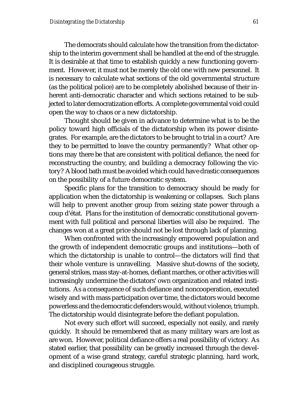The democrats should calculate how the transition from the dictatorship to the interim government shall be handled at the end of the struggle. It is desirable at that time to establish quickly a new functioning government. However, it must not be merely the old one with new personnel. It is necessary to calculate what sections of the old governmental structure (as the political police) are to be completely abolished because of their inherent anti-democratic character and which sections retained to be subjected to later democratization efforts. A complete governmental void could open the way to chaos or a new dictatorship.

Thought should be given in advance to determine what is to be the policy toward high officials of the dictatorship when its power disintegrates. For example, are the dictators to be brought to trial in a court? Are they to be permitted to leave the country permanently? What other options may there be that are consistent with political defiance, the need for reconstructing the country, and building a democracy following the victory? A blood bath must be avoided which could have drastic consequences on the possibility of a future democratic system.

Specific plans for the transition to democracy should be ready for application when the dictatorship is weakening or collapses. Such plans will help to prevent another group from seizing state power through a coup d'état. Plans for the institution of democratic constitutional government with full political and personal liberties will also be required. The changes won at a great price should not be lost through lack of planning.

When confronted with the increasingly empowered population and the growth of independent democratic groups and institutions—both of which the dictatorship is unable to control—the dictators will find that their whole venture is unravelling. Massive shut-downs of the society, general strikes, mass stay-at-homes, defiant marches, or other activities will increasingly undermine the dictators' own organization and related institutions. As a consequence of such defiance and noncooperation, executed wisely and with mass participation over time, the dictators would become powerless and the democratic defenders would, without violence, triumph. The dictatorship would disintegrate before the defiant population.

Not every such effort will succeed, especially not easily, and rarely quickly. It should be remembered that as many military wars are lost as are won. However, political defiance offers a real possibility of victory. As stated earlier, that possibility can be greatly increased through the development of a wise grand strategy, careful strategic planning, hard work, and disciplined courageous struggle.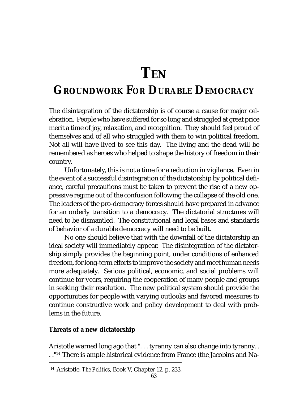# **TEN**

# **GROUNDWORK FOR DURABLE DEMOCRACY**

The disintegration of the dictatorship is of course a cause for major celebration. People who have suffered for so long and struggled at great price merit a time of joy, relaxation, and recognition. They should feel proud of themselves and of all who struggled with them to win political freedom. Not all will have lived to see this day. The living and the dead will be remembered as heroes who helped to shape the history of freedom in their country.

Unfortunately, this is not a time for a reduction in vigilance. Even in the event of a successful disintegration of the dictatorship by political defiance, careful precautions must be taken to prevent the rise of a new oppressive regime out of the confusion following the collapse of the old one. The leaders of the pro-democracy forces should have prepared in advance for an orderly transition to a democracy. The dictatorial structures will need to be dismantled. The constitutional and legal bases and standards of behavior of a durable democracy will need to be built.

No one should believe that with the downfall of the dictatorship an ideal society will immediately appear. The disintegration of the dictatorship simply provides the beginning point, under conditions of enhanced freedom, for long-term efforts to improve the society and meet human needs more adequately. Serious political, economic, and social problems will continue for years, requiring the cooperation of many people and groups in seeking their resolution. The new political system should provide the opportunities for people with varying outlooks and favored measures to continue constructive work and policy development to deal with problems in the future.

# **Threats of a new dictatorship**

Aristotle warned long ago that ". . . tyranny can also change into tyranny. . . . "<sup>14</sup> There is ample historical evidence from France (the Jacobins and Na-

 <sup>14</sup> Aristotle, *The Politics,* Book V, Chapter 12, p. 233.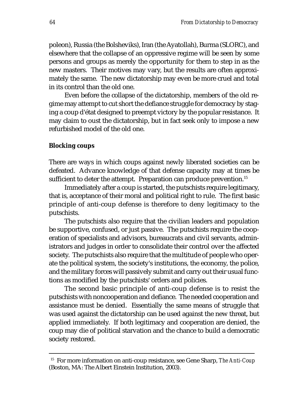poleon), Russia (the Bolsheviks), Iran (the Ayatollah), Burma (SLORC), and elsewhere that the collapse of an oppressive regime will be seen by some persons and groups as merely the opportunity for them to step in as the new masters. Their motives may vary, but the results are often approximately the same. The new dictatorship may even be more cruel and total in its control than the old one.

Even before the collapse of the dictatorship, members of the old regime may attempt to cut short the defiance struggle for democracy by staging a coup d'état designed to preempt victory by the popular resistance. It may claim to oust the dictatorship, but in fact seek only to impose a new refurbished model of the old one.

### **Blocking coups**

There are ways in which coups against newly liberated societies can be defeated. Advance knowledge of that defense capacity may at times be sufficient to deter the attempt. Preparation can produce prevention.<sup>15</sup>

Immediately after a coup is started, the putschists require legitimacy, that is, acceptance of their moral and political right to rule. The first basic principle of anti-coup defense is therefore to deny legitimacy to the putschists.

The putschists also require that the civilian leaders and population be supportive, confused, or just passive. The putschists require the cooperation of specialists and advisors, bureaucrats and civil servants, administrators and judges in order to consolidate their control over the affected society. The putschists also require that the multitude of people who operate the political system, the society's institutions, the economy, the police, and the military forces will passively submit and carry out their usual functions as modified by the putschists' orders and policies.

The second basic principle of anti-coup defense is to resist the putschists with noncooperation and defiance. The needed cooperation and assistance must be denied. Essentially the same means of struggle that was used against the dictatorship can be used against the new threat, but applied immediately. If both legitimacy and cooperation are denied, the coup may die of political starvation and the chance to build a democratic society restored.

 <sup>15</sup> For more information on anti-coup resistance, see Gene Sharp, *The Anti-Coup* (Boston, MA: The Albert Einstein Institution, 2003).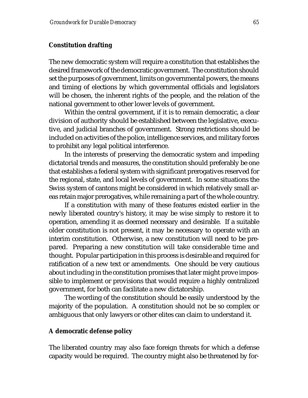### **Constitution drafting**

The new democratic system will require a constitution that establishes the desired framework of the democratic government. The constitution should set the purposes of government, limits on governmental powers, the means and timing of elections by which governmental officials and legislators will be chosen, the inherent rights of the people, and the relation of the national government to other lower levels of government.

Within the central government, if it is to remain democratic, a clear division of authority should be established between the legislative, executive, and judicial branches of government. Strong restrictions should be included on activities of the police, intelligence services, and military forces to prohibit any legal political interference.

In the interests of preserving the democratic system and impeding dictatorial trends and measures, the constitution should preferably be one that establishes a federal system with significant prerogatives reserved for the regional, state, and local levels of government. In some situations the Swiss system of cantons might be considered in which relatively small areas retain major prerogatives, while remaining a part of the whole country.

If a constitution with many of these features existed earlier in the newly liberated country's history, it may be wise simply to restore it to operation, amending it as deemed necessary and desirable. If a suitable older constitution is not present, it may be necessary to operate with an interim constitution. Otherwise, a new constitution will need to be prepared. Preparing a new constitution will take considerable time and thought. Popular participation in this process is desirable and required for ratification of a new text or amendments. One should be very cautious about including in the constitution promises that later might prove impossible to implement or provisions that would require a highly centralized government, for both can facilitate a new dictatorship.

The wording of the constitution should be easily understood by the majority of the population. A constitution should not be so complex or ambiguous that only lawyers or other elites can claim to understand it.

### **A democratic defense policy**

The liberated country may also face foreign threats for which a defense capacity would be required. The country might also be threatened by for-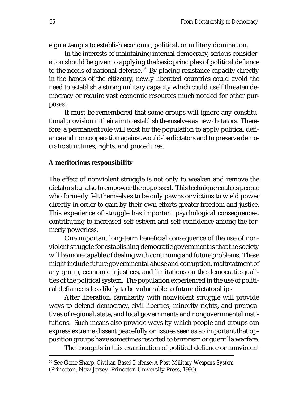eign attempts to establish economic, political, or military domination.

In the interests of maintaining internal democracy, serious consideration should be given to applying the basic principles of political defiance to the needs of national defense.<sup>16</sup> By placing resistance capacity directly in the hands of the citizenry, newly liberated countries could avoid the need to establish a strong military capacity which could itself threaten democracy or require vast economic resources much needed for other purposes.

It must be remembered that some groups will ignore any constitutional provision in their aim to establish themselves as new dictators. Therefore, a permanent role will exist for the population to apply political defiance and noncooperation against would-be dictators and to preserve democratic structures, rights, and procedures.

#### **A meritorious responsibility**

The effect of nonviolent struggle is not only to weaken and remove the dictators but also to empower the oppressed. This technique enables people who formerly felt themselves to be only pawns or victims to wield power directly in order to gain by their own efforts greater freedom and justice. This experience of struggle has important psychological consequences, contributing to increased self-esteem and self-confidence among the formerly powerless.

One important long-term beneficial consequence of the use of nonviolent struggle for establishing democratic government is that the society will be more capable of dealing with continuing and future problems. These might include future governmental abuse and corruption, maltreatment of any group, economic injustices, and limitations on the democratic qualities of the political system. The population experienced in the use of political defiance is less likely to be vulnerable to future dictatorships.

After liberation, familiarity with nonviolent struggle will provide ways to defend democracy, civil liberties, minority rights, and prerogatives of regional, state, and local governments and nongovernmental institutions. Such means also provide ways by which people and groups can express extreme dissent peacefully on issues seen as so important that opposition groups have sometimes resorted to terrorism or guerrilla warfare.

The thoughts in this examination of political defiance or nonviolent

<sup>16</sup> See Gene Sharp, *Civilian-Based Defense: A Post-Military Weapons System* (Princeton, New Jersey: Princeton University Press, 1990).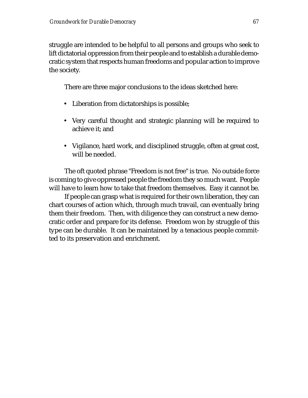struggle are intended to be helpful to all persons and groups who seek to lift dictatorial oppression from their people and to establish a durable democratic system that respects human freedoms and popular action to improve the society.

There are three major conclusions to the ideas sketched here:

- Liberation from dictatorships is possible;
- Very careful thought and strategic planning will be required to achieve it; and
- Vigilance, hard work, and disciplined struggle, often at great cost, will be needed.

The oft quoted phrase "Freedom is not free" is true. No outside force is coming to give oppressed people the freedom they so much want. People will have to learn how to take that freedom themselves. Easy it cannot be.

If people can grasp what is required for their own liberation, they can chart courses of action which, through much travail, can eventually bring them their freedom. Then, with diligence they can construct a new democratic order and prepare for its defense. Freedom won by struggle of this type can be durable. It can be maintained by a tenacious people committed to its preservation and enrichment.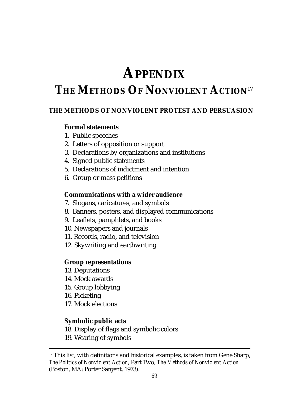## **APPENDIX**

## **THE METHODS OF NONVIOLENT ACTION**<sup>17</sup>

## **THE METHODS OF NONVIOLENT PROTEST AND PERSUASION**

## **Formal statements**

- 1. Public speeches
- 2. Letters of opposition or support
- 3. Declarations by organizations and institutions
- 4. Signed public statements
- 5. Declarations of indictment and intention
- 6. Group or mass petitions

## **Communications with a wider audience**

- 7. Slogans, caricatures, and symbols
- 8. Banners, posters, and displayed communications
- 9. Leaflets, pamphlets, and books
- 10. Newspapers and journals
- 11. Records, radio, and television
- 12. Skywriting and earthwriting

## **Group representations**

- 13. Deputations
- 14. Mock awards
- 15. Group lobbying
- 16. Picketing
- 17. Mock elections

## **Symbolic public acts**

- 18. Display of flags and symbolic colors
- 19. Wearing of symbols

<sup>&</sup>lt;sup>17</sup> This list, with definitions and historical examples, is taken from Gene Sharp, *The Politics of Nonviolent Action,* Part Two, *The Methods of Nonviolent Action* (Boston, MA: Porter Sargent, 1973).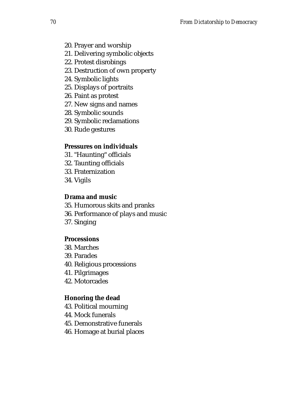- 20. Prayer and worship
- 21. Delivering symbolic objects
- 22. Protest disrobings
- 23. Destruction of own property
- 24. Symbolic lights
- 25. Displays of portraits
- 26. Paint as protest
- 27. New signs and names
- 28. Symbolic sounds
- 29. Symbolic reclamations
- 30. Rude gestures

## **Pressures on individuals**

- 31. "Haunting" officials
- 32. Taunting officials
- 33. Fraternization
- 34. Vigils

## **Drama and music**

- 35. Humorous skits and pranks
- 36. Performance of plays and music
- 37. Singing

## **Processions**

- 38. Marches
- 39. Parades
- 40. Religious processions
- 41. Pilgrimages
- 42. Motorcades

## **Honoring the dead**

- 43. Political mourning
- 44. Mock funerals
- 45. Demonstrative funerals
- 46. Homage at burial places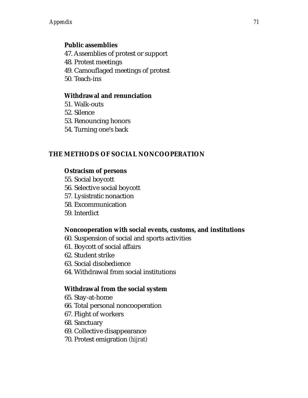## **Public assemblies**

- 47. Assemblies of protest or support
- 48. Protest meetings
- 49. Camouflaged meetings of protest
- 50. Teach-ins

## **Withdrawal and renunciation**

- 51. Walk-outs
- 52. Silence
- 53. Renouncing honors
- 54. Turning one's back

## **THE METHODS OF SOCIAL NONCOOPERATION**

## **Ostracism of persons**

- 55. Social boycott
- 56. Selective social boycott
- 57. Lysistratic nonaction
- 58. Excommunication
- 59. Interdict

## **Noncooperation with social events, customs, and institutions**

- 60. Suspension of social and sports activities
- 61. Boycott of social affairs
- 62. Student strike
- 63. Social disobedience
- 64. Withdrawal from social institutions

## **Withdrawal from the social system**

- 65. Stay-at-home
- 66. Total personal noncooperation
- 67. Flight of workers
- 68. Sanctuary
- 69. Collective disappearance
- 70. Protest emigration *(hijrat)*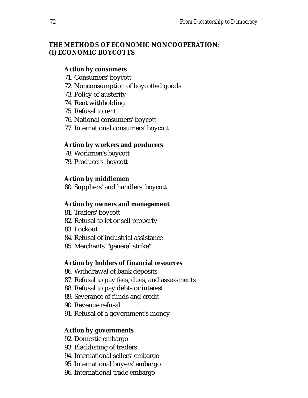#### **THE METHODS OF ECONOMIC NONCOOPERATION: (1) ECONOMIC BOYCOTTS**

#### **Action by consumers**

- 71. Consumers' boycott
- 72. Nonconsumption of boycotted goods
- 73. Policy of austerity
- 74. Rent withholding
- 75. Refusal to rent
- 76. National consumers' boycott
- 77. International consumers' boycott

#### **Action by workers and producers**

- 78. Workmen's boycott
- 79. Producers' boycott

#### **Action by middlemen**

80. Suppliers' and handlers' boycott

#### **Action by owners and management**

- 81. Traders' boycott
- 82. Refusal to let or sell property
- 83. Lockout
- 84. Refusal of industrial assistance
- 85. Merchants' "general strike"

#### **Action by holders of financial resources**

- 86. Withdrawal of bank deposits
- 87. Refusal to pay fees, dues, and assessments
- 88. Refusal to pay debts or interest
- 89. Severance of funds and credit
- 90. Revenue refusal
- 91. Refusal of a government's money

#### **Action by governments**

- 92. Domestic embargo
- 93. Blacklisting of traders
- 94. International sellers' embargo
- 95. International buyers' embargo
- 96. International trade embargo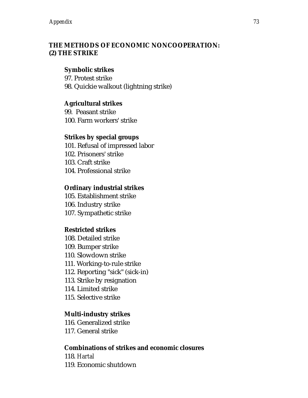## **THE METHODS OF ECONOMIC NONCOOPERATION: (2) THE STRIKE**

#### **Symbolic strikes**

97. Protest strike 98. Quickie walkout (lightning strike)

#### **Agricultural strikes**

99. Peasant strike 100. Farm workers' strike

#### **Strikes by special groups**

101. Refusal of impressed labor 102. Prisoners' strike 103. Craft strike 104. Professional strike

#### **Ordinary industrial strikes**

105. Establishment strike

106. Industry strike

107. Sympathetic strike

### **Restricted strikes**

108. Detailed strike

- 109. Bumper strike
- 110. Slowdown strike
- 111. Working-to-rule strike
- 112. Reporting "sick" (sick-in)
- 113. Strike by resignation
- 114. Limited strike
- 115. Selective strike

#### **Multi-industry strikes**

116. Generalized strike

117. General strike

### **Combinations of strikes and economic closures**

118. *Hartal* 119. Economic shutdown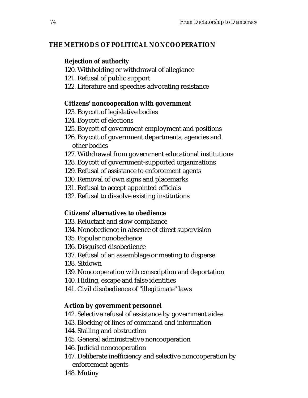#### **THE METHODS OF POLITICAL NONCOOPERATION**

### **Rejection of authority**

- 120. Withholding or withdrawal of allegiance
- 121. Refusal of public support
- 122. Literature and speeches advocating resistance

#### **Citizens' noncooperation with government**

- 123. Boycott of legislative bodies
- 124. Boycott of elections
- 125. Boycott of government employment and positions
- 126. Boycott of government departments, agencies and other bodies
- 127. Withdrawal from government educational institutions
- 128. Boycott of government-supported organizations
- 129. Refusal of assistance to enforcement agents
- 130. Removal of own signs and placemarks
- 131. Refusal to accept appointed officials
- 132. Refusal to dissolve existing institutions

## **Citizens' alternatives to obedience**

- 133. Reluctant and slow compliance
- 134. Nonobedience in absence of direct supervision
- 135. Popular nonobedience
- 136. Disguised disobedience
- 137. Refusal of an assemblage or meeting to disperse
- 138. Sitdown
- 139. Noncooperation with conscription and deportation
- 140. Hiding, escape and false identities
- 141. Civil disobedience of "illegitimate" laws

## **Action by government personnel**

- 142. Selective refusal of assistance by government aides
- 143. Blocking of lines of command and information
- 144. Stalling and obstruction
- 145. General administrative noncooperation
- 146. Judicial noncooperation
- 147. Deliberate inefficiency and selective noncooperation by enforcement agents
- 148. Mutiny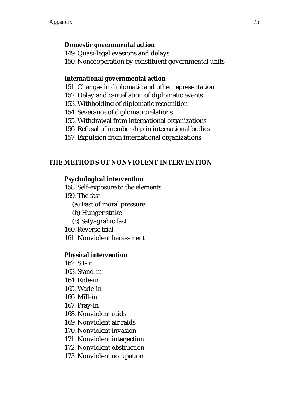## **Domestic governmental action**

149. Quasi-legal evasions and delays

150. Noncooperation by constituent governmental units

## **International governmental action**

- 151. Changes in diplomatic and other representation
- 152. Delay and cancellation of diplomatic events
- 153. Withholding of diplomatic recognition
- 154. Severance of diplomatic relations
- 155. Withdrawal from international organizations
- 156. Refusal of membership in international bodies
- 157. Expulsion from international organizations

## **THE METHODS OF NONVIOLENT INTERVENTION**

## **Psychological intervention**

- 158. Self-exposure to the elements
- 159. The fast
	- (a) Fast of moral pressure
	- (b) Hunger strike
	- (c) Satyagrahic fast
- 160. Reverse trial
- 161. Nonviolent harassment

## **Physical intervention**

- 162. Sit-in
- 163. Stand-in
- 164. Ride-in
- 165. Wade-in
- 166. Mill-in
- 167. Pray-in
- 168. Nonviolent raids
- 169. Nonviolent air raids
- 170. Nonviolent invasion
- 171. Nonviolent interjection
- 172. Nonviolent obstruction
- 173. Nonviolent occupation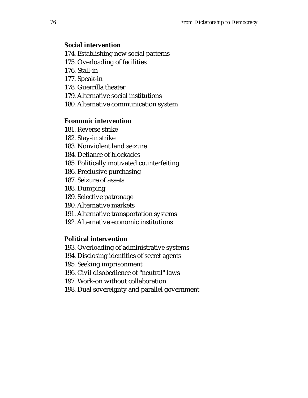#### **Social intervention**

- 174. Establishing new social patterns
- 175. Overloading of facilities
- 176. Stall-in
- 177. Speak-in
- 178. Guerrilla theater
- 179. Alternative social institutions
- 180. Alternative communication system

#### **Economic intervention**

- 181. Reverse strike
- 182. Stay-in strike
- 183. Nonviolent land seizure
- 184. Defiance of blockades
- 185. Politically motivated counterfeiting
- 186. Preclusive purchasing
- 187. Seizure of assets
- 188. Dumping
- 189. Selective patronage
- 190. Alternative markets
- 191. Alternative transportation systems
- 192. Alternative economic institutions

#### **Political intervention**

- 193. Overloading of administrative systems
- 194. Disclosing identities of secret agents
- 195. Seeking imprisonment
- 196. Civil disobedience of "neutral" laws
- 197. Work-on without collaboration
- 198. Dual sovereignty and parallel government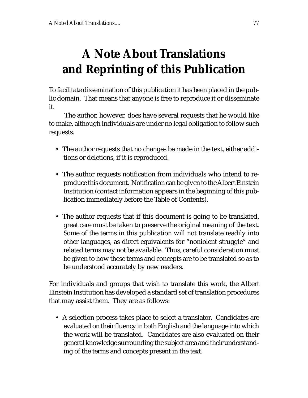# **A Note About Translations and Reprinting of this Publication**

To facilitate dissemination of this publication it has been placed in the public domain. That means that anyone is free to reproduce it or disseminate it.

The author, however, does have several requests that he would like to make, although individuals are under no legal obligation to follow such requests.

- The author requests that no changes be made in the text, either additions or deletions, if it is reproduced.
- The author requests notification from individuals who intend to reproduce this document. Notification can be given to the Albert Einstein Institution (contact information appears in the beginning of this publication immediately before the Table of Contents).
- The author requests that if this document is going to be translated, great care must be taken to preserve the original meaning of the text. Some of the terms in this publication will not translate readily into other languages, as direct equivalents for "noniolent struggle" and related terms may not be available. Thus, careful consideration must be given to how these terms and concepts are to be translated so as to be understood accurately by new readers.

For individuals and groups that wish to translate this work, the Albert Einstein Institution has developed a standard set of translation procedures that may assist them. They are as follows:

• A selection process takes place to select a translator. Candidates are evaluated on their fluency in both English and the language into which the work will be translated. Candidates are also evaluated on their general knowledge surrounding the subject area and their understanding of the terms and concepts present in the text.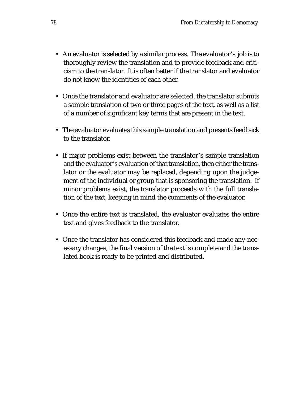- An evaluator is selected by a similar process. The evaluator's job is to thoroughly review the translation and to provide feedback and criticism to the translator. It is often better if the translator and evaluator do not know the identities of each other.
- Once the translator and evaluator are selected, the translator submits a sample translation of two or three pages of the text, as well as a list of a number of significant key terms that are present in the text.
- The evaluator evaluates this sample translation and presents feedback to the translator.
- If major problems exist between the translator's sample translation and the evaluator's evaluation of that translation, then either the translator or the evaluator may be replaced, depending upon the judgement of the individual or group that is sponsoring the translation. If minor problems exist, the translator proceeds with the full translation of the text, keeping in mind the comments of the evaluator.
- Once the entire text is translated, the evaluator evaluates the entire text and gives feedback to the translator.
- Once the translator has considered this feedback and made any necessary changes, the final version of the text is complete and the translated book is ready to be printed and distributed.